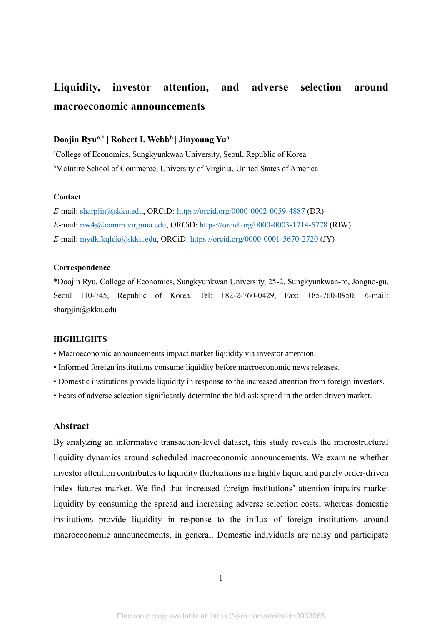# **Liquidity, investor attention, and adverse selection around macroeconomic announcements**

# **Doojin Ryua,\* | Robert I. Webb<sup>b</sup>| Jinyoung Yu<sup>a</sup>**

<sup>a</sup>College of Economics, Sungkyunkwan University, Seoul, Republic of Korea **bMcIntire School of Commerce, University of Virginia, United States of America** 

#### **Contact**

*E*-mail[: sharpjin@skku.edu,](mailto:sharpjin@skku.edu) ORCiD: [https://orcid.org/0000-0002-0059-4887](https://orcid.org/0000-0002-0059-4887D) (DR) *E*-mail[: riw4j@comm.virginia.edu,](mailto:riw4j@comm.virginia.edu%3e) ORCiD:<https://orcid.org/0000-0003-1714-5778> (RIW) *E*-mail[: mydkfkqldk@skku.edu,](mailto:mydkfkqldk@skku.edu) ORCiD: https://orcid.org/0000-0001-5670-2720 (JY)

#### **Correspondence**

\*Doojin Ryu, College of Economics, Sungkyunkwan University, 25-2, Sungkyunkwan-ro, Jongno-gu, Seoul 110-745, Republic of Korea. Tel: +82-2-760-0429, Fax: +85-760-0950, *E*-mail: sharpjin@skku.edu

#### **HIGHLIGHTS**

- Macroeconomic announcements impact market liquidity via investor attention.
- Informed foreign institutions consume liquidity before macroeconomic news releases.
- Domestic institutions provide liquidity in response to the increased attention from foreign investors.
- Fears of adverse selection significantly determine the bid-ask spread in the order-driven market.

#### **Abstract**

By analyzing an informative transaction-level dataset, this study reveals the microstructural liquidity dynamics around scheduled macroeconomic announcements. We examine whether investor attention contributes to liquidity fluctuations in a highly liquid and purely order-driven index futures market. We find that increased foreign institutions' attention impairs market liquidity by consuming the spread and increasing adverse selection costs, whereas domestic institutions provide liquidity in response to the influx of foreign institutions around macroeconomic announcements, in general. Domestic individuals are noisy and participate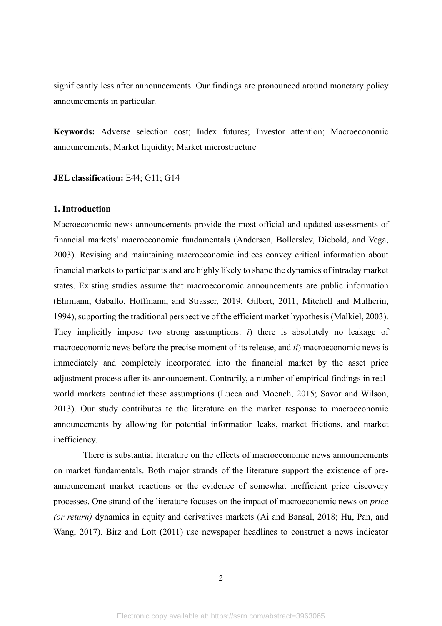significantly less after announcements. Our findings are pronounced around monetary policy announcements in particular.

**Keywords:** Adverse selection cost; Index futures; Investor attention; Macroeconomic announcements; Market liquidity; Market microstructure

**JEL classification:** E44; G11; G14

#### **1. Introduction**

Macroeconomic news announcements provide the most official and updated assessments of financial markets' macroeconomic fundamentals (Andersen, Bollerslev, Diebold, and Vega, 2003). Revising and maintaining macroeconomic indices convey critical information about financial markets to participants and are highly likely to shape the dynamics of intraday market states. Existing studies assume that macroeconomic announcements are public information (Ehrmann, Gaballo, Hoffmann, and Strasser, 2019; Gilbert, 2011; Mitchell and Mulherin, 1994), supporting the traditional perspective of the efficient market hypothesis (Malkiel, 2003). They implicitly impose two strong assumptions: *i*) there is absolutely no leakage of macroeconomic news before the precise moment of its release, and *ii*) macroeconomic news is immediately and completely incorporated into the financial market by the asset price adjustment process after its announcement. Contrarily, a number of empirical findings in realworld markets contradict these assumptions (Lucca and Moench, 2015; Savor and Wilson, 2013). Our study contributes to the literature on the market response to macroeconomic announcements by allowing for potential information leaks, market frictions, and market inefficiency.

There is substantial literature on the effects of macroeconomic news announcements on market fundamentals. Both major strands of the literature support the existence of preannouncement market reactions or the evidence of somewhat inefficient price discovery processes. One strand of the literature focuses on the impact of macroeconomic news on *price (or return)* dynamics in equity and derivatives markets (Ai and Bansal, 2018; Hu, Pan, and Wang, 2017). Birz and Lott (2011) use newspaper headlines to construct a news indicator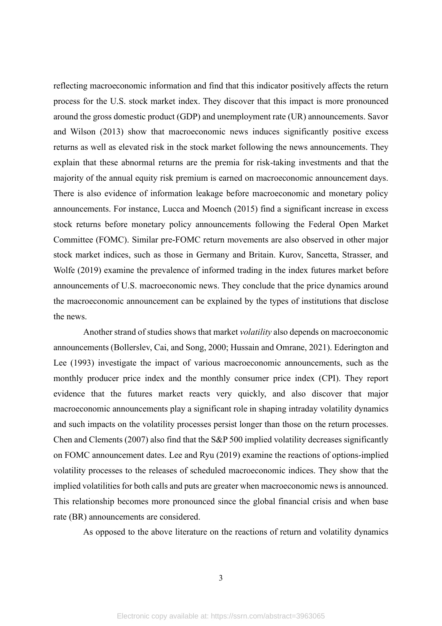reflecting macroeconomic information and find that this indicator positively affects the return process for the U.S. stock market index. They discover that this impact is more pronounced around the gross domestic product (GDP) and unemployment rate (UR) announcements. Savor and Wilson (2013) show that macroeconomic news induces significantly positive excess returns as well as elevated risk in the stock market following the news announcements. They explain that these abnormal returns are the premia for risk-taking investments and that the majority of the annual equity risk premium is earned on macroeconomic announcement days. There is also evidence of information leakage before macroeconomic and monetary policy announcements. For instance, Lucca and Moench (2015) find a significant increase in excess stock returns before monetary policy announcements following the Federal Open Market Committee (FOMC). Similar pre-FOMC return movements are also observed in other major stock market indices, such as those in Germany and Britain. Kurov, Sancetta, Strasser, and Wolfe (2019) examine the prevalence of informed trading in the index futures market before announcements of U.S. macroeconomic news. They conclude that the price dynamics around the macroeconomic announcement can be explained by the types of institutions that disclose the news.

Another strand of studies shows that market *volatility* also depends on macroeconomic announcements (Bollerslev, Cai, and Song, 2000; Hussain and Omrane, 2021). Ederington and Lee (1993) investigate the impact of various macroeconomic announcements, such as the monthly producer price index and the monthly consumer price index (CPI). They report evidence that the futures market reacts very quickly, and also discover that major macroeconomic announcements play a significant role in shaping intraday volatility dynamics and such impacts on the volatility processes persist longer than those on the return processes. Chen and Clements (2007) also find that the S&P 500 implied volatility decreases significantly on FOMC announcement dates. Lee and Ryu (2019) examine the reactions of options-implied volatility processes to the releases of scheduled macroeconomic indices. They show that the implied volatilities for both calls and puts are greater when macroeconomic news is announced. This relationship becomes more pronounced since the global financial crisis and when base rate (BR) announcements are considered.

As opposed to the above literature on the reactions of return and volatility dynamics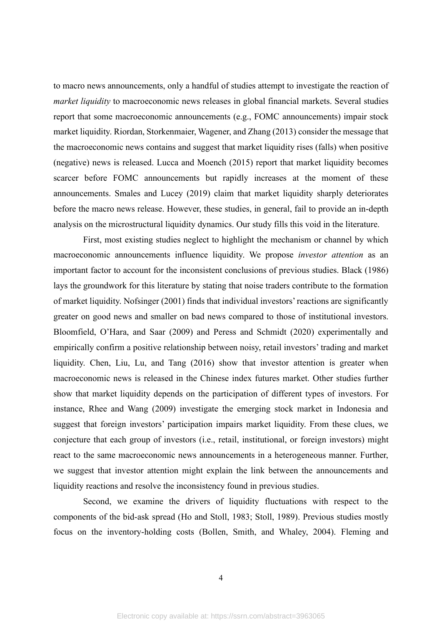to macro news announcements, only a handful of studies attempt to investigate the reaction of *market liquidity* to macroeconomic news releases in global financial markets. Several studies report that some macroeconomic announcements (e.g., FOMC announcements) impair stock market liquidity. Riordan, Storkenmaier, Wagener, and Zhang (2013) consider the message that the macroeconomic news contains and suggest that market liquidity rises (falls) when positive (negative) news is released. Lucca and Moench (2015) report that market liquidity becomes scarcer before FOMC announcements but rapidly increases at the moment of these announcements. Smales and Lucey (2019) claim that market liquidity sharply deteriorates before the macro news release. However, these studies, in general, fail to provide an in-depth analysis on the microstructural liquidity dynamics. Our study fills this void in the literature.

First, most existing studies neglect to highlight the mechanism or channel by which macroeconomic announcements influence liquidity. We propose *investor attention* as an important factor to account for the inconsistent conclusions of previous studies. Black (1986) lays the groundwork for this literature by stating that noise traders contribute to the formation of market liquidity. Nofsinger (2001) finds that individual investors' reactions are significantly greater on good news and smaller on bad news compared to those of institutional investors. Bloomfield, O'Hara, and Saar (2009) and Peress and Schmidt (2020) experimentally and empirically confirm a positive relationship between noisy, retail investors' trading and market liquidity. Chen, Liu, Lu, and Tang (2016) show that investor attention is greater when macroeconomic news is released in the Chinese index futures market. Other studies further show that market liquidity depends on the participation of different types of investors. For instance, Rhee and Wang (2009) investigate the emerging stock market in Indonesia and suggest that foreign investors' participation impairs market liquidity. From these clues, we conjecture that each group of investors (i.e., retail, institutional, or foreign investors) might react to the same macroeconomic news announcements in a heterogeneous manner. Further, we suggest that investor attention might explain the link between the announcements and liquidity reactions and resolve the inconsistency found in previous studies.

Second, we examine the drivers of liquidity fluctuations with respect to the components of the bid-ask spread (Ho and Stoll, 1983; Stoll, 1989). Previous studies mostly focus on the inventory-holding costs (Bollen, Smith, and Whaley, 2004). Fleming and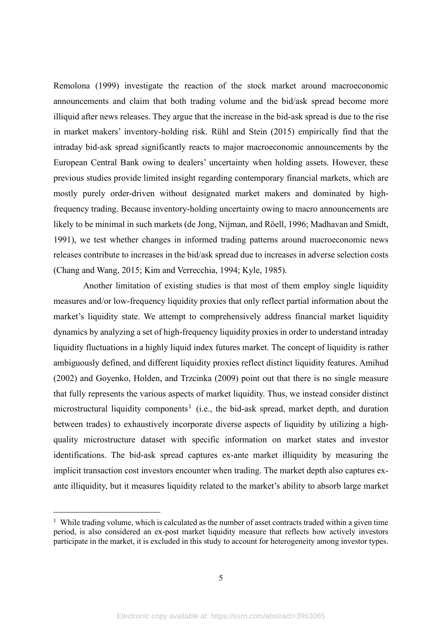Remolona (1999) investigate the reaction of the stock market around macroeconomic announcements and claim that both trading volume and the bid/ask spread become more illiquid after news releases. They argue that the increase in the bid-ask spread is due to the rise in market makers' inventory-holding risk. Rühl and Stein (2015) empirically find that the intraday bid-ask spread significantly reacts to major macroeconomic announcements by the European Central Bank owing to dealers' uncertainty when holding assets. However, these previous studies provide limited insight regarding contemporary financial markets, which are mostly purely order-driven without designated market makers and dominated by highfrequency trading. Because inventory-holding uncertainty owing to macro announcements are likely to be minimal in such markets (de Jong, Nijman, and Röell, 1996; Madhavan and Smidt, 1991), we test whether changes in informed trading patterns around macroeconomic news releases contribute to increases in the bid/ask spread due to increases in adverse selection costs (Chang and Wang, 2015; Kim and Verrecchia, 1994; Kyle, 1985).

Another limitation of existing studies is that most of them employ single liquidity measures and/or low-frequency liquidity proxies that only reflect partial information about the market's liquidity state. We attempt to comprehensively address financial market liquidity dynamics by analyzing a set of high-frequency liquidity proxies in order to understand intraday liquidity fluctuations in a highly liquid index futures market. The concept of liquidity is rather ambiguously defined, and different liquidity proxies reflect distinct liquidity features. Amihud (2002) and Goyenko, Holden, and Trzcinka (2009) point out that there is no single measure that fully represents the various aspects of market liquidity. Thus, we instead consider distinct microstructural liquidity components<sup>1</sup> (i.e., the bid-ask spread, market depth, and duration between trades) to exhaustively incorporate diverse aspects of liquidity by utilizing a highquality microstructure dataset with specific information on market states and investor identifications. The bid-ask spread captures ex-ante market illiquidity by measuring the implicit transaction cost investors encounter when trading. The market depth also captures exante illiquidity, but it measures liquidity related to the market's ability to absorb large market

<sup>&</sup>lt;sup>1</sup> While trading volume, which is calculated as the number of asset contracts traded within a given time period, is also considered an ex-post market liquidity measure that reflects how actively investors participate in the market, it is excluded in this study to account for heterogeneity among investor types.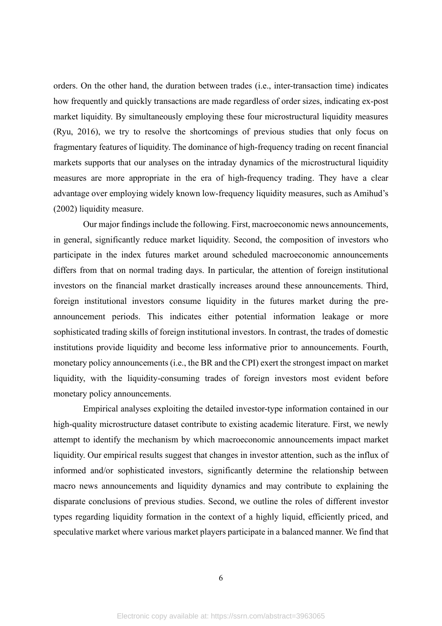orders. On the other hand, the duration between trades (i.e., inter-transaction time) indicates how frequently and quickly transactions are made regardless of order sizes, indicating ex-post market liquidity. By simultaneously employing these four microstructural liquidity measures (Ryu, 2016), we try to resolve the shortcomings of previous studies that only focus on fragmentary features of liquidity. The dominance of high-frequency trading on recent financial markets supports that our analyses on the intraday dynamics of the microstructural liquidity measures are more appropriate in the era of high-frequency trading. They have a clear advantage over employing widely known low-frequency liquidity measures, such as Amihud's (2002) liquidity measure.

Our major findings include the following. First, macroeconomic news announcements, in general, significantly reduce market liquidity. Second, the composition of investors who participate in the index futures market around scheduled macroeconomic announcements differs from that on normal trading days. In particular, the attention of foreign institutional investors on the financial market drastically increases around these announcements. Third, foreign institutional investors consume liquidity in the futures market during the preannouncement periods. This indicates either potential information leakage or more sophisticated trading skills of foreign institutional investors. In contrast, the trades of domestic institutions provide liquidity and become less informative prior to announcements. Fourth, monetary policy announcements (i.e., the BR and the CPI) exert the strongest impact on market liquidity, with the liquidity-consuming trades of foreign investors most evident before monetary policy announcements.

Empirical analyses exploiting the detailed investor-type information contained in our high-quality microstructure dataset contribute to existing academic literature. First, we newly attempt to identify the mechanism by which macroeconomic announcements impact market liquidity. Our empirical results suggest that changes in investor attention, such as the influx of informed and/or sophisticated investors, significantly determine the relationship between macro news announcements and liquidity dynamics and may contribute to explaining the disparate conclusions of previous studies. Second, we outline the roles of different investor types regarding liquidity formation in the context of a highly liquid, efficiently priced, and speculative market where various market players participate in a balanced manner. We find that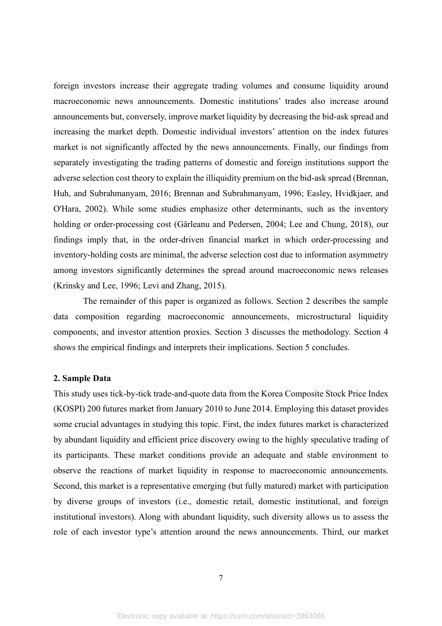foreign investors increase their aggregate trading volumes and consume liquidity around macroeconomic news announcements. Domestic institutions' trades also increase around announcements but, conversely, improve market liquidity by decreasing the bid-ask spread and increasing the market depth. Domestic individual investors' attention on the index futures market is not significantly affected by the news announcements. Finally, our findings from separately investigating the trading patterns of domestic and foreign institutions support the adverse selection cost theory to explain the illiquidity premium on the bid-ask spread (Brennan, Huh, and Subrahmanyam, 2016; Brennan and Subrahmanyam, 1996; Easley, Hvidkjaer, and O'Hara, 2002). While some studies emphasize other determinants, such as the inventory holding or order-processing cost (Gârleanu and Pedersen, 2004; Lee and Chung, 2018), our findings imply that, in the order-driven financial market in which order-processing and inventory-holding costs are minimal, the adverse selection cost due to information asymmetry among investors significantly determines the spread around macroeconomic news releases (Krinsky and Lee, 1996; Levi and Zhang, 2015).

The remainder of this paper is organized as follows. Section 2 describes the sample data composition regarding macroeconomic announcements, microstructural liquidity components, and investor attention proxies. Section 3 discusses the methodology. Section 4 shows the empirical findings and interprets their implications. Section 5 concludes.

#### **2. Sample Data**

This study uses tick-by-tick trade-and-quote data from the Korea Composite Stock Price Index (KOSPI) 200 futures market from January 2010 to June 2014. Employing this dataset provides some crucial advantages in studying this topic. First, the index futures market is characterized by abundant liquidity and efficient price discovery owing to the highly speculative trading of its participants. These market conditions provide an adequate and stable environment to observe the reactions of market liquidity in response to macroeconomic announcements. Second, this market is a representative emerging (but fully matured) market with participation by diverse groups of investors (i.e., domestic retail, domestic institutional, and foreign institutional investors). Along with abundant liquidity, such diversity allows us to assess the role of each investor type's attention around the news announcements. Third, our market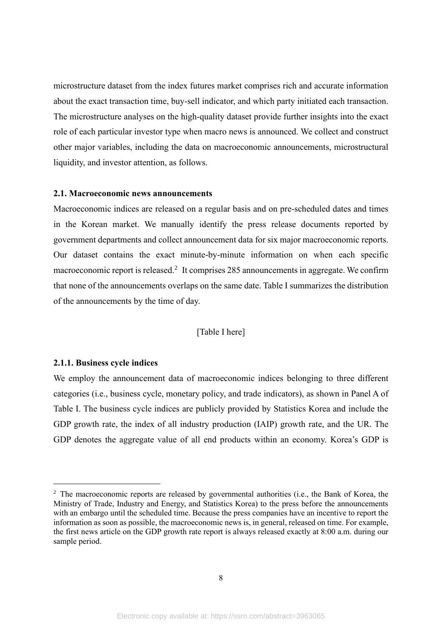microstructure dataset from the index futures market comprises rich and accurate information about the exact transaction time, buy-sell indicator, and which party initiated each transaction. The microstructure analyses on the high-quality dataset provide further insights into the exact role of each particular investor type when macro news is announced. We collect and construct other major variables, including the data on macroeconomic announcements, microstructural liquidity, and investor attention, as follows.

# **2.1. Macroeconomic news announcements**

Macroeconomic indices are released on a regular basis and on pre-scheduled dates and times in the Korean market. We manually identify the press release documents reported by government departments and collect announcement data for six major macroeconomic reports. Our dataset contains the exact minute-by-minute information on when each specific macroeconomic report is released.<sup>2</sup> It comprises 285 announcements in aggregate. We confirm that none of the announcements overlaps on the same date. Table I summarizes the distribution of the announcements by the time of day.

#### [Table I here]

#### **2.1.1. Business cycle indices**

We employ the announcement data of macroeconomic indices belonging to three different categories (i.e., business cycle, monetary policy, and trade indicators), as shown in Panel A of Table I. The business cycle indices are publicly provided by Statistics Korea and include the GDP growth rate, the index of all industry production (IAIP) growth rate, and the UR. The GDP denotes the aggregate value of all end products within an economy. Korea's GDP is

 $2\degree$  The macroeconomic reports are released by governmental authorities (i.e., the Bank of Korea, the Ministry of Trade, Industry and Energy, and Statistics Korea) to the press before the announcements with an embargo until the scheduled time. Because the press companies have an incentive to report the information as soon as possible, the macroeconomic news is, in general, released on time. For example, the first news article on the GDP growth rate report is always released exactly at 8:00 a.m. during our sample period.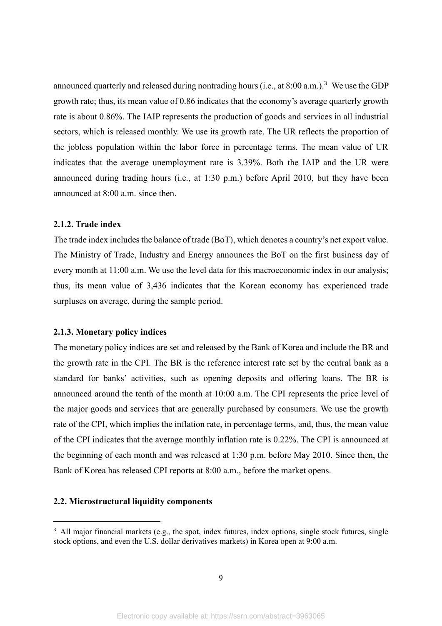announced quarterly and released during nontrading hours (i.e., at  $8:00$  a.m.).<sup>3</sup> We use the GDP growth rate; thus, its mean value of 0.86 indicates that the economy's average quarterly growth rate is about 0.86%. The IAIP represents the production of goods and services in all industrial sectors, which is released monthly. We use its growth rate. The UR reflects the proportion of the jobless population within the labor force in percentage terms. The mean value of UR indicates that the average unemployment rate is 3.39%. Both the IAIP and the UR were announced during trading hours (i.e., at 1:30 p.m.) before April 2010, but they have been announced at 8:00 a.m. since then.

# **2.1.2. Trade index**

The trade index includes the balance of trade (BoT), which denotes a country's net export value. The Ministry of Trade, Industry and Energy announces the BoT on the first business day of every month at 11:00 a.m. We use the level data for this macroeconomic index in our analysis; thus, its mean value of 3,436 indicates that the Korean economy has experienced trade surpluses on average, during the sample period.

#### **2.1.3. Monetary policy indices**

The monetary policy indices are set and released by the Bank of Korea and include the BR and the growth rate in the CPI. The BR is the reference interest rate set by the central bank as a standard for banks' activities, such as opening deposits and offering loans. The BR is announced around the tenth of the month at 10:00 a.m. The CPI represents the price level of the major goods and services that are generally purchased by consumers. We use the growth rate of the CPI, which implies the inflation rate, in percentage terms, and, thus, the mean value of the CPI indicates that the average monthly inflation rate is 0.22%. The CPI is announced at the beginning of each month and was released at 1:30 p.m. before May 2010. Since then, the Bank of Korea has released CPI reports at 8:00 a.m., before the market opens.

#### **2.2. Microstructural liquidity components**

 $3$  All major financial markets (e.g., the spot, index futures, index options, single stock futures, single stock options, and even the U.S. dollar derivatives markets) in Korea open at 9:00 a.m.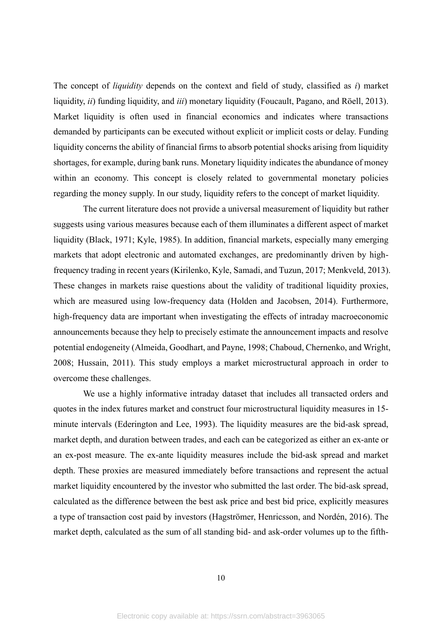The concept of *liquidity* depends on the context and field of study, classified as *i*) market liquidity, *ii*) funding liquidity, and *iii*) monetary liquidity (Foucault, Pagano, and Röell, 2013). Market liquidity is often used in financial economics and indicates where transactions demanded by participants can be executed without explicit or implicit costs or delay. Funding liquidity concerns the ability of financial firms to absorb potential shocks arising from liquidity shortages, for example, during bank runs. Monetary liquidity indicates the abundance of money within an economy. This concept is closely related to governmental monetary policies regarding the money supply. In our study, liquidity refers to the concept of market liquidity.

The current literature does not provide a universal measurement of liquidity but rather suggests using various measures because each of them illuminates a different aspect of market liquidity (Black, 1971; Kyle, 1985). In addition, financial markets, especially many emerging markets that adopt electronic and automated exchanges, are predominantly driven by highfrequency trading in recent years (Kirilenko, Kyle, Samadi, and Tuzun, 2017; Menkveld, 2013). These changes in markets raise questions about the validity of traditional liquidity proxies, which are measured using low-frequency data (Holden and Jacobsen, 2014). Furthermore, high-frequency data are important when investigating the effects of intraday macroeconomic announcements because they help to precisely estimate the announcement impacts and resolve potential endogeneity (Almeida, Goodhart, and Payne, 1998; Chaboud, Chernenko, and Wright, 2008; Hussain, 2011). This study employs a market microstructural approach in order to overcome these challenges.

We use a highly informative intraday dataset that includes all transacted orders and quotes in the index futures market and construct four microstructural liquidity measures in 15 minute intervals (Ederington and Lee, 1993). The liquidity measures are the bid-ask spread, market depth, and duration between trades, and each can be categorized as either an ex-ante or an ex-post measure. The ex-ante liquidity measures include the bid-ask spread and market depth. These proxies are measured immediately before transactions and represent the actual market liquidity encountered by the investor who submitted the last order. The bid-ask spread, calculated as the difference between the best ask price and best bid price, explicitly measures a type of transaction cost paid by investors (Hagströmer, Henricsson, and Nordén, 2016). The market depth, calculated as the sum of all standing bid- and ask-order volumes up to the fifth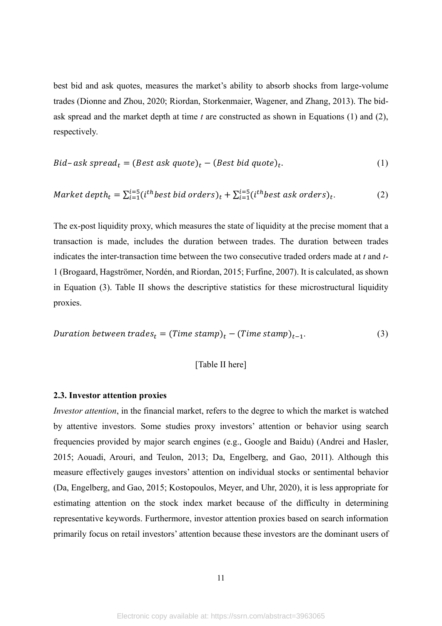best bid and ask quotes, measures the market's ability to absorb shocks from large-volume trades (Dionne and Zhou, 2020; Riordan, Storkenmaier, Wagener, and Zhang, 2013). The bidask spread and the market depth at time *t* are constructed as shown in Equations (1) and (2), respectively.

$$
Bid-ask\ spread_t = (Best\ ask\ quote)_t - (Best\ bid\ quote)_t.
$$
 (1)

$$
Market\ depth_t = \sum_{i=1}^{i=5} (i^{th} best\ bid\ orders)_t + \sum_{i=1}^{i=5} (i^{th} best\ ask\ orders)_t.
$$
 (2)

The ex-post liquidity proxy, which measures the state of liquidity at the precise moment that a transaction is made, includes the duration between trades. The duration between trades indicates the inter-transaction time between the two consecutive traded orders made at *t* and *t*-1 (Brogaard, Hagströmer, Nordén, and Riordan, 2015; Furfine, 2007). It is calculated, as shown in Equation (3). Table II shows the descriptive statistics for these microstructural liquidity proxies.

= ( ) − ( )−1. (3)

# [Table II here]

#### **2.3. Investor attention proxies**

*Investor attention*, in the financial market, refers to the degree to which the market is watched by attentive investors. Some studies proxy investors' attention or behavior using search frequencies provided by major search engines (e.g., Google and Baidu) (Andrei and Hasler, 2015; Aouadi, Arouri, and Teulon, 2013; Da, Engelberg, and Gao, 2011). Although this measure effectively gauges investors' attention on individual stocks or sentimental behavior (Da, Engelberg, and Gao, 2015; Kostopoulos, Meyer, and Uhr, 2020), it is less appropriate for estimating attention on the stock index market because of the difficulty in determining representative keywords. Furthermore, investor attention proxies based on search information primarily focus on retail investors' attention because these investors are the dominant users of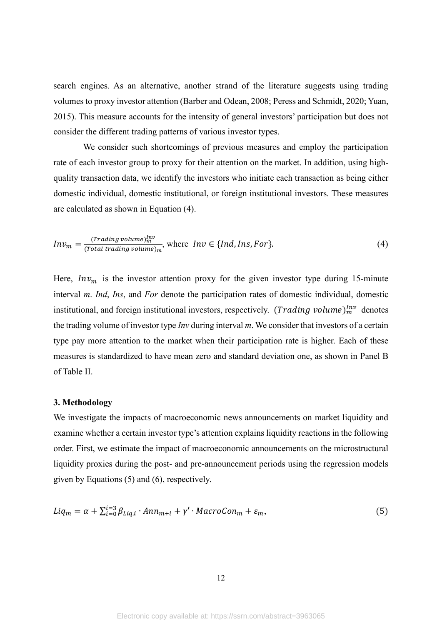search engines. As an alternative, another strand of the literature suggests using trading volumes to proxy investor attention (Barber and Odean, 2008; Peress and Schmidt, 2020; Yuan, 2015). This measure accounts for the intensity of general investors' participation but does not consider the different trading patterns of various investor types.

We consider such shortcomings of previous measures and employ the participation rate of each investor group to proxy for their attention on the market. In addition, using highquality transaction data, we identify the investors who initiate each transaction as being either domestic individual, domestic institutional, or foreign institutional investors. These measures are calculated as shown in Equation (4).

$$
Inv_m = \frac{(\text{Trading volume})_m^{\text{Inv}}}{(\text{Total trading volume})_m}, \text{ where } \text{Inv} \in \{\text{Ind}, \text{Ins}, \text{For}\}. \tag{4}
$$

Here,  $Inv<sub>m</sub>$  is the investor attention proxy for the given investor type during 15-minute interval *m*. *Ind*, *Ins*, and *For* denote the participation rates of domestic individual, domestic institutional, and foreign institutional investors, respectively. (*Trading volume*) $_{m}^{lnv}$  denotes the trading volume of investor type *Inv* during interval *m*. We consider that investors of a certain type pay more attention to the market when their participation rate is higher. Each of these measures is standardized to have mean zero and standard deviation one, as shown in Panel B of Table II.

#### **3. Methodology**

We investigate the impacts of macroeconomic news announcements on market liquidity and examine whether a certain investor type's attention explains liquidity reactions in the following order. First, we estimate the impact of macroeconomic announcements on the microstructural liquidity proxies during the post- and pre-announcement periods using the regression models given by Equations (5) and (6), respectively.

$$
Liq_m = \alpha + \sum_{i=0}^{i=3} \beta_{Liq,i} \cdot Ann_{m+i} + \gamma' \cdot MacroCon_m + \varepsilon_m,
$$
\n(5)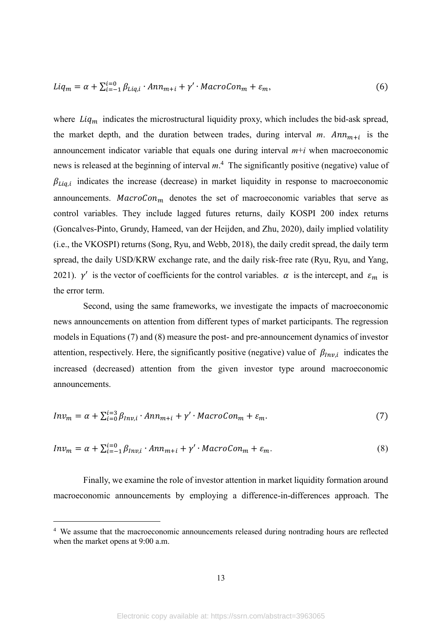$$
Liq_m = \alpha + \sum_{i=-1}^{i=0} \beta_{Liq,i} \cdot Ann_{m+i} + \gamma' \cdot MacroCon_m + \varepsilon_m,
$$
\n(6)

where  $Liq_m$  indicates the microstructural liquidity proxy, which includes the bid-ask spread, the market depth, and the duration between trades, during interval  $m$ .  $Ann_{m+i}$  is the announcement indicator variable that equals one during interval  $m+i$  when macroeconomic news is released at the beginning of interval *m*. <sup>4</sup> The significantly positive (negative) value of  $\beta_{Liq,i}$  indicates the increase (decrease) in market liquidity in response to macroeconomic announcements. MacroCon<sub>m</sub> denotes the set of macroeconomic variables that serve as control variables. They include lagged futures returns, daily KOSPI 200 index returns (Goncalves-Pinto, Grundy, Hameed, van der Heijden, and Zhu, 2020), daily implied volatility (i.e., the VKOSPI) returns (Song, Ryu, and Webb, 2018), the daily credit spread, the daily term spread, the daily USD/KRW exchange rate, and the daily risk-free rate (Ryu, Ryu, and Yang, 2021).  $\gamma'$  is the vector of coefficients for the control variables.  $\alpha$  is the intercept, and  $\varepsilon_m$  is the error term.

Second, using the same frameworks, we investigate the impacts of macroeconomic news announcements on attention from different types of market participants. The regression models in Equations (7) and (8) measure the post- and pre-announcement dynamics of investor attention, respectively. Here, the significantly positive (negative) value of  $\beta_{Inv,i}$  indicates the increased (decreased) attention from the given investor type around macroeconomic announcements.

$$
Inv_m = \alpha + \sum_{i=0}^{i=3} \beta_{Inv,i} \cdot Ann_{m+i} + \gamma' \cdot MacroCon_m + \varepsilon_m. \tag{7}
$$

$$
Inv_m = \alpha + \sum_{i=-1}^{i=0} \beta_{Inv,i} \cdot Ann_{m+i} + \gamma' \cdot MacroCon_m + \varepsilon_m. \tag{8}
$$

Finally, we examine the role of investor attention in market liquidity formation around macroeconomic announcements by employing a difference-in-differences approach. The

<sup>&</sup>lt;sup>4</sup> We assume that the macroeconomic announcements released during nontrading hours are reflected when the market opens at 9:00 a.m.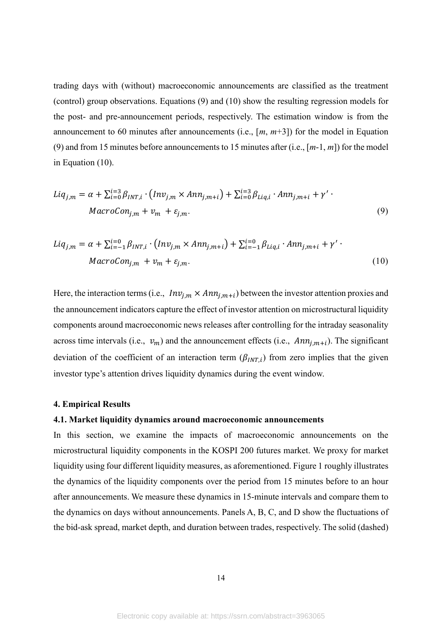trading days with (without) macroeconomic announcements are classified as the treatment (control) group observations. Equations (9) and (10) show the resulting regression models for the post- and pre-announcement periods, respectively. The estimation window is from the announcement to 60 minutes after announcements (i.e., [*m*, *m*+3]) for the model in Equation (9) and from 15 minutes before announcements to 15 minutes after (i.e., [*m*-1, *m*]) for the model in Equation (10).

$$
Liq_{j,m} = \alpha + \sum_{i=0}^{i=3} \beta_{INT,i} \cdot (Inv_{j,m} \times Ann_{j,m+i}) + \sum_{i=0}^{i=3} \beta_{Liq,i} \cdot Ann_{j,m+i} + \gamma' \cdot
$$
  
\n
$$
MacroCon_{j,m} + v_m + \varepsilon_{j,m}.
$$
\n(9)

$$
Liq_{j,m} = \alpha + \sum_{i=-1}^{i=0} \beta_{INT,i} \cdot \left( Inv_{j,m} \times Ann_{j,m+i} \right) + \sum_{i=-1}^{i=0} \beta_{Liq,i} \cdot Ann_{j,m+i} + \gamma' \cdot
$$
  
 
$$
MacroCon_{j,m} + v_m + \varepsilon_{j,m}. \tag{10}
$$

Here, the interaction terms (i.e.,  $Inv_{j,m} \times Ann_{j,m+i}$ ) between the investor attention proxies and the announcement indicators capture the effect of investor attention on microstructural liquidity components around macroeconomic news releases after controlling for the intraday seasonality across time intervals (i.e.,  $v_m$ ) and the announcement effects (i.e.,  $Ann_{j,m+i}$ ). The significant deviation of the coefficient of an interaction term  $(\beta_{INT,i})$  from zero implies that the given investor type's attention drives liquidity dynamics during the event window.

#### **4. Empirical Results**

#### **4.1. Market liquidity dynamics around macroeconomic announcements**

In this section, we examine the impacts of macroeconomic announcements on the microstructural liquidity components in the KOSPI 200 futures market. We proxy for market liquidity using four different liquidity measures, as aforementioned. Figure 1 roughly illustrates the dynamics of the liquidity components over the period from 15 minutes before to an hour after announcements. We measure these dynamics in 15-minute intervals and compare them to the dynamics on days without announcements. Panels A, B, C, and D show the fluctuations of the bid-ask spread, market depth, and duration between trades, respectively. The solid (dashed)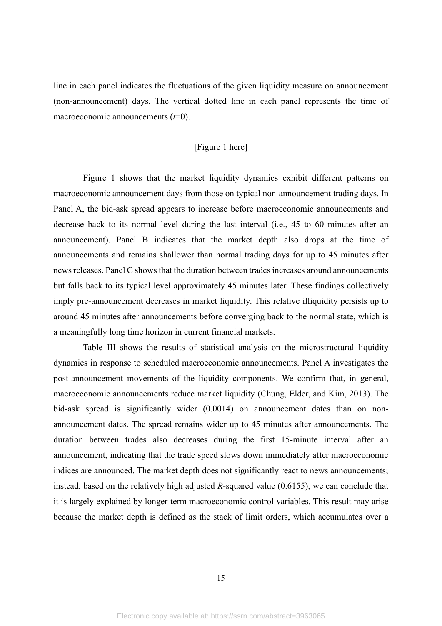line in each panel indicates the fluctuations of the given liquidity measure on announcement (non-announcement) days. The vertical dotted line in each panel represents the time of macroeconomic announcements (*t*=0).

# [Figure 1 here]

Figure 1 shows that the market liquidity dynamics exhibit different patterns on macroeconomic announcement days from those on typical non-announcement trading days. In Panel A, the bid-ask spread appears to increase before macroeconomic announcements and decrease back to its normal level during the last interval (i.e., 45 to 60 minutes after an announcement). Panel B indicates that the market depth also drops at the time of announcements and remains shallower than normal trading days for up to 45 minutes after news releases. Panel C showsthat the duration between trades increases around announcements but falls back to its typical level approximately 45 minutes later. These findings collectively imply pre-announcement decreases in market liquidity. This relative illiquidity persists up to around 45 minutes after announcements before converging back to the normal state, which is a meaningfully long time horizon in current financial markets.

Table III shows the results of statistical analysis on the microstructural liquidity dynamics in response to scheduled macroeconomic announcements. Panel A investigates the post-announcement movements of the liquidity components. We confirm that, in general, macroeconomic announcements reduce market liquidity (Chung, Elder, and Kim, 2013). The bid-ask spread is significantly wider (0.0014) on announcement dates than on nonannouncement dates. The spread remains wider up to 45 minutes after announcements. The duration between trades also decreases during the first 15-minute interval after an announcement, indicating that the trade speed slows down immediately after macroeconomic indices are announced. The market depth does not significantly react to news announcements; instead, based on the relatively high adjusted *R*-squared value (0.6155), we can conclude that it is largely explained by longer-term macroeconomic control variables. This result may arise because the market depth is defined as the stack of limit orders, which accumulates over a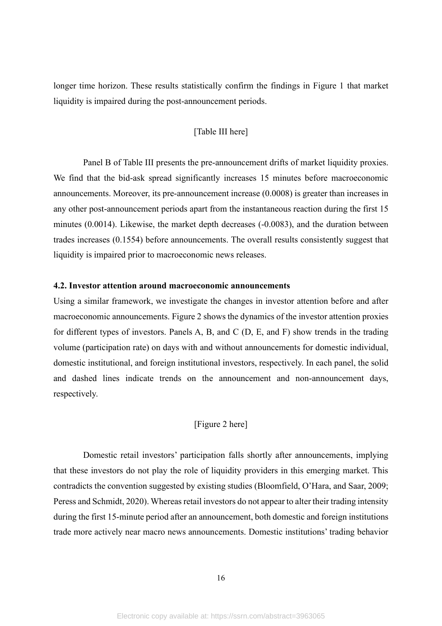longer time horizon. These results statistically confirm the findings in Figure 1 that market liquidity is impaired during the post-announcement periods.

# [Table III here]

Panel B of Table III presents the pre-announcement drifts of market liquidity proxies. We find that the bid-ask spread significantly increases 15 minutes before macroeconomic announcements. Moreover, its pre-announcement increase (0.0008) is greater than increases in any other post-announcement periods apart from the instantaneous reaction during the first 15 minutes (0.0014). Likewise, the market depth decreases (-0.0083), and the duration between trades increases (0.1554) before announcements. The overall results consistently suggest that liquidity is impaired prior to macroeconomic news releases.

#### **4.2. Investor attention around macroeconomic announcements**

Using a similar framework, we investigate the changes in investor attention before and after macroeconomic announcements. Figure 2 shows the dynamics of the investor attention proxies for different types of investors. Panels A, B, and C (D, E, and F) show trends in the trading volume (participation rate) on days with and without announcements for domestic individual, domestic institutional, and foreign institutional investors, respectively. In each panel, the solid and dashed lines indicate trends on the announcement and non-announcement days, respectively.

## [Figure 2 here]

Domestic retail investors' participation falls shortly after announcements, implying that these investors do not play the role of liquidity providers in this emerging market. This contradicts the convention suggested by existing studies (Bloomfield, O'Hara, and Saar, 2009; Peress and Schmidt, 2020). Whereas retail investors do not appear to alter their trading intensity during the first 15-minute period after an announcement, both domestic and foreign institutions trade more actively near macro news announcements. Domestic institutions' trading behavior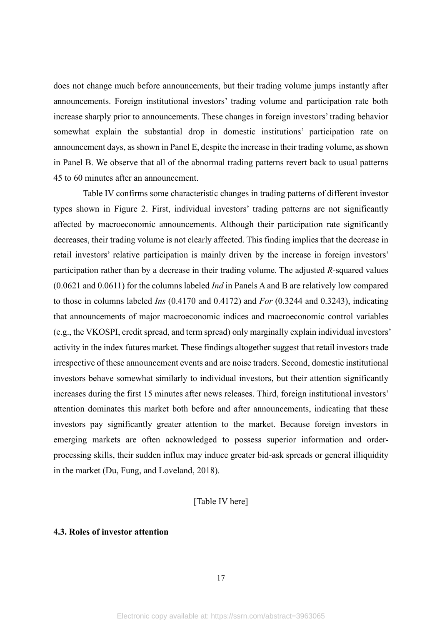does not change much before announcements, but their trading volume jumps instantly after announcements. Foreign institutional investors' trading volume and participation rate both increase sharply prior to announcements. These changes in foreign investors' trading behavior somewhat explain the substantial drop in domestic institutions' participation rate on announcement days, as shown in Panel E, despite the increase in their trading volume, as shown in Panel B. We observe that all of the abnormal trading patterns revert back to usual patterns 45 to 60 minutes after an announcement.

Table IV confirms some characteristic changes in trading patterns of different investor types shown in Figure 2. First, individual investors' trading patterns are not significantly affected by macroeconomic announcements. Although their participation rate significantly decreases, their trading volume is not clearly affected. This finding implies that the decrease in retail investors' relative participation is mainly driven by the increase in foreign investors' participation rather than by a decrease in their trading volume. The adjusted *R*-squared values (0.0621 and 0.0611) for the columns labeled *Ind* in Panels A and B are relatively low compared to those in columns labeled *Ins* (0.4170 and 0.4172) and *For* (0.3244 and 0.3243), indicating that announcements of major macroeconomic indices and macroeconomic control variables (e.g., the VKOSPI, credit spread, and term spread) only marginally explain individual investors' activity in the index futures market. These findings altogether suggest that retail investors trade irrespective of these announcement events and are noise traders. Second, domestic institutional investors behave somewhat similarly to individual investors, but their attention significantly increases during the first 15 minutes after news releases. Third, foreign institutional investors' attention dominates this market both before and after announcements, indicating that these investors pay significantly greater attention to the market. Because foreign investors in emerging markets are often acknowledged to possess superior information and orderprocessing skills, their sudden influx may induce greater bid-ask spreads or general illiquidity in the market (Du, Fung, and Loveland, 2018).

#### [Table IV here]

## **4.3. Roles of investor attention**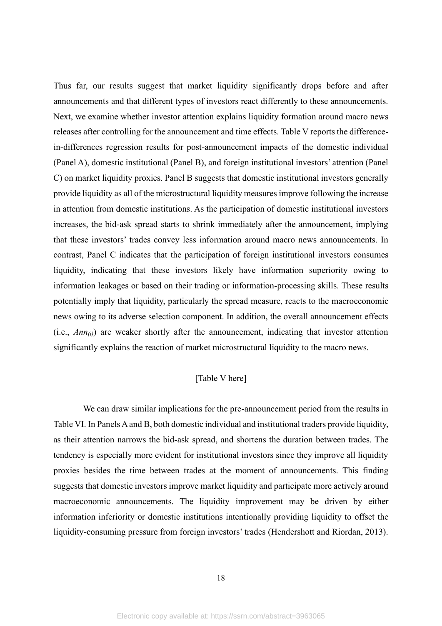Thus far, our results suggest that market liquidity significantly drops before and after announcements and that different types of investors react differently to these announcements. Next, we examine whether investor attention explains liquidity formation around macro news releases after controlling for the announcement and time effects. Table V reports the differencein-differences regression results for post-announcement impacts of the domestic individual (Panel A), domestic institutional (Panel B), and foreign institutional investors' attention (Panel C) on market liquidity proxies. Panel B suggests that domestic institutional investors generally provide liquidity as all of the microstructural liquidity measures improve following the increase in attention from domestic institutions. As the participation of domestic institutional investors increases, the bid-ask spread starts to shrink immediately after the announcement, implying that these investors' trades convey less information around macro news announcements. In contrast, Panel C indicates that the participation of foreign institutional investors consumes liquidity, indicating that these investors likely have information superiority owing to information leakages or based on their trading or information-processing skills. These results potentially imply that liquidity, particularly the spread measure, reacts to the macroeconomic news owing to its adverse selection component. In addition, the overall announcement effects (i.e.,  $Ann_{(i)}$ ) are weaker shortly after the announcement, indicating that investor attention significantly explains the reaction of market microstructural liquidity to the macro news.

# [Table V here]

We can draw similar implications for the pre-announcement period from the results in Table VI. In Panels A and B, both domestic individual and institutional traders provide liquidity, as their attention narrows the bid-ask spread, and shortens the duration between trades. The tendency is especially more evident for institutional investors since they improve all liquidity proxies besides the time between trades at the moment of announcements. This finding suggests that domestic investors improve market liquidity and participate more actively around macroeconomic announcements. The liquidity improvement may be driven by either information inferiority or domestic institutions intentionally providing liquidity to offset the liquidity-consuming pressure from foreign investors' trades (Hendershott and Riordan, 2013).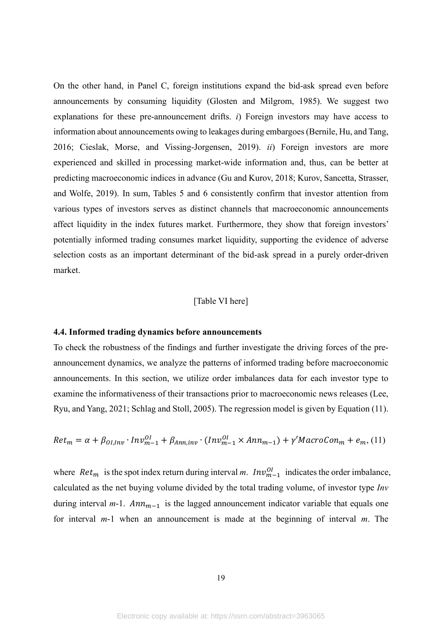On the other hand, in Panel C, foreign institutions expand the bid-ask spread even before announcements by consuming liquidity (Glosten and Milgrom, 1985). We suggest two explanations for these pre-announcement drifts. *i*) Foreign investors may have access to information about announcements owing to leakages during embargoes (Bernile, Hu, and Tang, 2016; Cieslak, Morse, and Vissing‐Jorgensen, 2019). *ii*) Foreign investors are more experienced and skilled in processing market-wide information and, thus, can be better at predicting macroeconomic indices in advance (Gu and Kurov, 2018; Kurov, Sancetta, Strasser, and Wolfe, 2019). In sum, Tables 5 and 6 consistently confirm that investor attention from various types of investors serves as distinct channels that macroeconomic announcements affect liquidity in the index futures market. Furthermore, they show that foreign investors' potentially informed trading consumes market liquidity, supporting the evidence of adverse selection costs as an important determinant of the bid-ask spread in a purely order-driven market.

#### [Table VI here]

#### **4.4. Informed trading dynamics before announcements**

To check the robustness of the findings and further investigate the driving forces of the preannouncement dynamics, we analyze the patterns of informed trading before macroeconomic announcements. In this section, we utilize order imbalances data for each investor type to examine the informativeness of their transactions prior to macroeconomic news releases (Lee, Ryu, and Yang, 2021; Schlag and Stoll, 2005). The regression model is given by Equation (11).

$$
Ret_m = \alpha + \beta_{0I,Inv} \cdot Inv_{m-1}^{0I} + \beta_{Ann,inv} \cdot (Inv_{m-1}^{0I} \times Ann_{m-1}) + \gamma' MacroCon_m + e_m, (11)
$$

where  $Ret_m$  is the spot index return during interval m.  $Inv_{m-1}^{O_l}$  indicates the order imbalance, calculated as the net buying volume divided by the total trading volume, of investor type *Inv* during interval  $m-1$ .  $Ann_{m-1}$  is the lagged announcement indicator variable that equals one for interval *m*-1 when an announcement is made at the beginning of interval *m*. The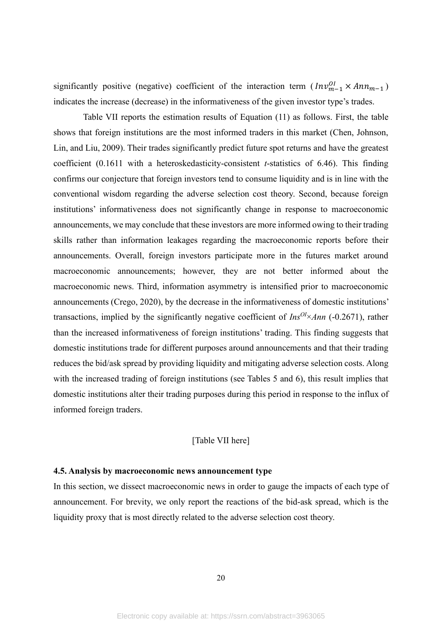significantly positive (negative) coefficient of the interaction term  $(\text{Inv}_{m-1}^{01} \times \text{Ann}_{m-1})$ indicates the increase (decrease) in the informativeness of the given investor type's trades.

Table VII reports the estimation results of Equation (11) as follows. First, the table shows that foreign institutions are the most informed traders in this market (Chen, Johnson, Lin, and Liu, 2009). Their trades significantly predict future spot returns and have the greatest coefficient (0.1611 with a heteroskedasticity-consistent *t*-statistics of 6.46). This finding confirms our conjecture that foreign investors tend to consume liquidity and is in line with the conventional wisdom regarding the adverse selection cost theory. Second, because foreign institutions' informativeness does not significantly change in response to macroeconomic announcements, we may conclude that these investors are more informed owing to their trading skills rather than information leakages regarding the macroeconomic reports before their announcements. Overall, foreign investors participate more in the futures market around macroeconomic announcements; however, they are not better informed about the macroeconomic news. Third, information asymmetry is intensified prior to macroeconomic announcements (Crego, 2020), by the decrease in the informativeness of domestic institutions' transactions, implied by the significantly negative coefficient of *InsOI*×*Ann* (-0.2671), rather than the increased informativeness of foreign institutions' trading. This finding suggests that domestic institutions trade for different purposes around announcements and that their trading reduces the bid/ask spread by providing liquidity and mitigating adverse selection costs. Along with the increased trading of foreign institutions (see Tables 5 and 6), this result implies that domestic institutions alter their trading purposes during this period in response to the influx of informed foreign traders.

# [Table VII here]

#### **4.5. Analysis by macroeconomic news announcement type**

In this section, we dissect macroeconomic news in order to gauge the impacts of each type of announcement. For brevity, we only report the reactions of the bid-ask spread, which is the liquidity proxy that is most directly related to the adverse selection cost theory.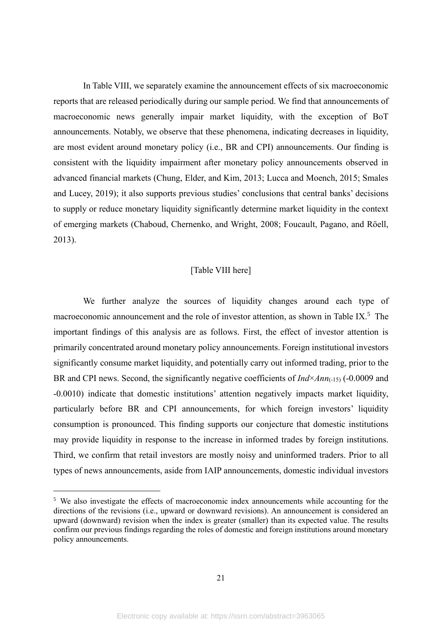In Table VIII, we separately examine the announcement effects of six macroeconomic reports that are released periodically during our sample period. We find that announcements of macroeconomic news generally impair market liquidity, with the exception of BoT announcements. Notably, we observe that these phenomena, indicating decreases in liquidity, are most evident around monetary policy (i.e., BR and CPI) announcements. Our finding is consistent with the liquidity impairment after monetary policy announcements observed in advanced financial markets (Chung, Elder, and Kim, 2013; Lucca and Moench, 2015; Smales and Lucey, 2019); it also supports previous studies' conclusions that central banks' decisions to supply or reduce monetary liquidity significantly determine market liquidity in the context of emerging markets (Chaboud, Chernenko, and Wright, 2008; Foucault, Pagano, and Röell, 2013).

#### [Table VIII here]

We further analyze the sources of liquidity changes around each type of macroeconomic announcement and the role of investor attention, as shown in Table IX.<sup>5</sup> The important findings of this analysis are as follows. First, the effect of investor attention is primarily concentrated around monetary policy announcements. Foreign institutional investors significantly consume market liquidity, and potentially carry out informed trading, prior to the BR and CPI news. Second, the significantly negative coefficients of *Ind*×*Ann*(-15) (-0.0009 and -0.0010) indicate that domestic institutions' attention negatively impacts market liquidity, particularly before BR and CPI announcements, for which foreign investors' liquidity consumption is pronounced. This finding supports our conjecture that domestic institutions may provide liquidity in response to the increase in informed trades by foreign institutions. Third, we confirm that retail investors are mostly noisy and uninformed traders. Prior to all types of news announcements, aside from IAIP announcements, domestic individual investors

<sup>&</sup>lt;sup>5</sup> We also investigate the effects of macroeconomic index announcements while accounting for the directions of the revisions (i.e., upward or downward revisions). An announcement is considered an upward (downward) revision when the index is greater (smaller) than its expected value. The results confirm our previous findings regarding the roles of domestic and foreign institutions around monetary policy announcements.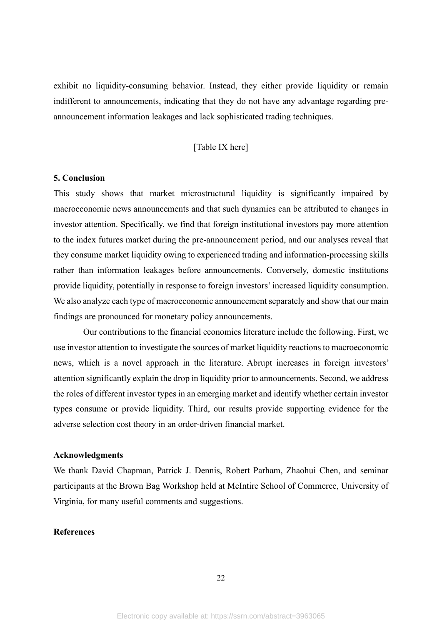exhibit no liquidity-consuming behavior. Instead, they either provide liquidity or remain indifferent to announcements, indicating that they do not have any advantage regarding preannouncement information leakages and lack sophisticated trading techniques.

# [Table IX here]

#### **5. Conclusion**

This study shows that market microstructural liquidity is significantly impaired by macroeconomic news announcements and that such dynamics can be attributed to changes in investor attention. Specifically, we find that foreign institutional investors pay more attention to the index futures market during the pre-announcement period, and our analyses reveal that they consume market liquidity owing to experienced trading and information-processing skills rather than information leakages before announcements. Conversely, domestic institutions provide liquidity, potentially in response to foreign investors' increased liquidity consumption. We also analyze each type of macroeconomic announcement separately and show that our main findings are pronounced for monetary policy announcements.

Our contributions to the financial economics literature include the following. First, we use investor attention to investigate the sources of market liquidity reactions to macroeconomic news, which is a novel approach in the literature. Abrupt increases in foreign investors' attention significantly explain the drop in liquidity prior to announcements. Second, we address the roles of different investor types in an emerging market and identify whether certain investor types consume or provide liquidity. Third, our results provide supporting evidence for the adverse selection cost theory in an order-driven financial market.

#### **Acknowledgments**

We thank David Chapman, Patrick J. Dennis, Robert Parham, Zhaohui Chen, and seminar participants at the Brown Bag Workshop held at McIntire School of Commerce, University of Virginia, for many useful comments and suggestions.

#### **References**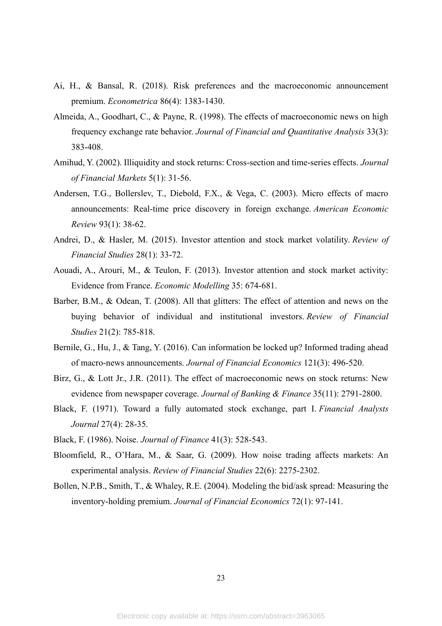- Ai, H., & Bansal, R. (2018). Risk preferences and the macroeconomic announcement premium. *Econometrica* 86(4): 1383-1430.
- Almeida, A., Goodhart, C., & Payne, R. (1998). The effects of macroeconomic news on high frequency exchange rate behavior. *Journal of Financial and Quantitative Analysis* 33(3): 383-408.
- Amihud, Y. (2002). Illiquidity and stock returns: Cross-section and time-series effects. *Journal of Financial Markets* 5(1): 31-56.
- Andersen, T.G., Bollerslev, T., Diebold, F.X., & Vega, C. (2003). Micro effects of macro announcements: Real-time price discovery in foreign exchange. *American Economic Review* 93(1): 38-62.
- Andrei, D., & Hasler, M. (2015). Investor attention and stock market volatility. *Review of Financial Studies* 28(1): 33-72.
- Aouadi, A., Arouri, M., & Teulon, F. (2013). Investor attention and stock market activity: Evidence from France. *Economic Modelling* 35: 674-681.
- Barber, B.M., & Odean, T. (2008). All that glitters: The effect of attention and news on the buying behavior of individual and institutional investors. *Review of Financial Studies* 21(2): 785-818.
- Bernile, G., Hu, J., & Tang, Y. (2016). Can information be locked up? Informed trading ahead of macro-news announcements. *Journal of Financial Economics* 121(3): 496-520.
- Birz, G., & Lott Jr., J.R. (2011). The effect of macroeconomic news on stock returns: New evidence from newspaper coverage. *Journal of Banking & Finance* 35(11): 2791-2800.
- Black, F. (1971). Toward a fully automated stock exchange, part I. *Financial Analysts Journal* 27(4): 28-35.
- Black, F. (1986). Noise. *Journal of Finance* 41(3): 528-543.
- Bloomfield, R., O'Hara, M., & Saar, G. (2009). How noise trading affects markets: An experimental analysis. *Review of Financial Studies* 22(6): 2275-2302.
- Bollen, N.P.B., Smith, T., & Whaley, R.E. (2004). Modeling the bid/ask spread: Measuring the inventory-holding premium. *Journal of Financial Economics* 72(1): 97-141.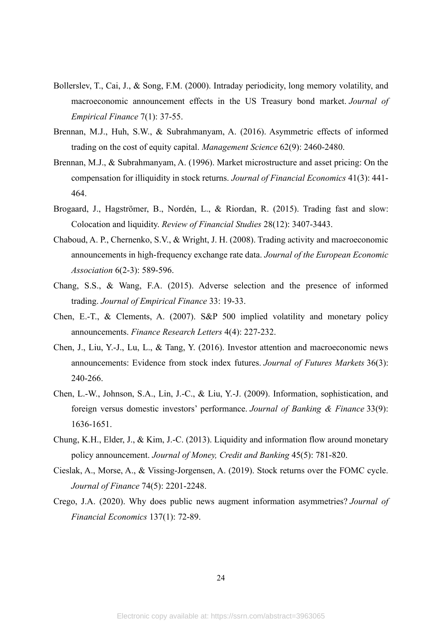- Bollerslev, T., Cai, J., & Song, F.M. (2000). Intraday periodicity, long memory volatility, and macroeconomic announcement effects in the US Treasury bond market. *Journal of Empirical Finance* 7(1): 37-55.
- Brennan, M.J., Huh, S.W., & Subrahmanyam, A. (2016). Asymmetric effects of informed trading on the cost of equity capital. *Management Science* 62(9): 2460-2480.
- Brennan, M.J., & Subrahmanyam, A. (1996). Market microstructure and asset pricing: On the compensation for illiquidity in stock returns. *Journal of Financial Economics* 41(3): 441- 464.
- Brogaard, J., Hagströmer, B., Nordén, L., & Riordan, R. (2015). Trading fast and slow: Colocation and liquidity. *Review of Financial Studies* 28(12): 3407-3443.
- Chaboud, A. P., Chernenko, S.V., & Wright, J. H. (2008). Trading activity and macroeconomic announcements in high-frequency exchange rate data. *Journal of the European Economic Association* 6(2-3): 589-596.
- Chang, S.S., & Wang, F.A. (2015). Adverse selection and the presence of informed trading. *Journal of Empirical Finance* 33: 19-33.
- Chen, E.-T., & Clements, A. (2007). S&P 500 implied volatility and monetary policy announcements. *Finance Research Letters* 4(4): 227-232.
- Chen, J., Liu, Y.-J., Lu, L., & Tang, Y. (2016). Investor attention and macroeconomic news announcements: Evidence from stock index futures. *Journal of Futures Markets* 36(3): 240-266.
- Chen, L.-W., Johnson, S.A., Lin, J.-C., & Liu, Y.-J. (2009). Information, sophistication, and foreign versus domestic investors' performance. *Journal of Banking & Finance* 33(9): 1636-1651.
- Chung, K.H., Elder, J., & Kim, J.-C. (2013). Liquidity and information flow around monetary policy announcement. *Journal of Money, Credit and Banking* 45(5): 781-820.
- Cieslak, A., Morse, A., & Vissing‐Jorgensen, A. (2019). Stock returns over the FOMC cycle. *Journal of Finance* 74(5): 2201-2248.
- Crego, J.A. (2020). Why does public news augment information asymmetries? *Journal of Financial Economics* 137(1): 72-89.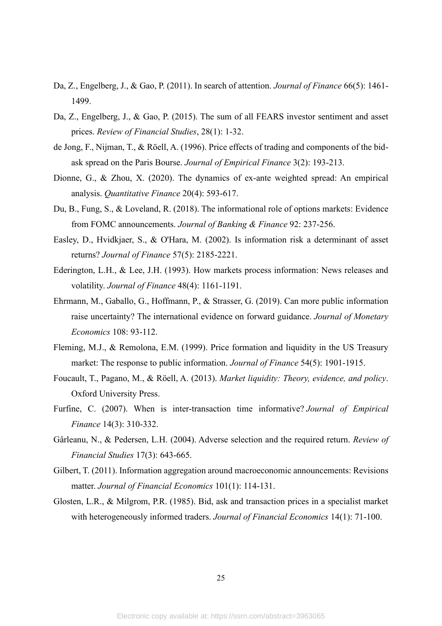- Da, Z., Engelberg, J., & Gao, P. (2011). In search of attention. *Journal of Finance* 66(5): 1461- 1499.
- Da, Z., Engelberg, J., & Gao, P. (2015). The sum of all FEARS investor sentiment and asset prices. *Review of Financial Studies*, 28(1): 1-32.
- de Jong, F., Nijman, T., & Röell, A. (1996). Price effects of trading and components of the bidask spread on the Paris Bourse. *Journal of Empirical Finance* 3(2): 193-213.
- Dionne, G., & Zhou, X. (2020). The dynamics of ex-ante weighted spread: An empirical analysis. *Quantitative Finance* 20(4): 593-617.
- Du, B., Fung, S., & Loveland, R. (2018). The informational role of options markets: Evidence from FOMC announcements. *Journal of Banking & Finance* 92: 237-256.
- Easley, D., Hvidkjaer, S., & O'Hara, M. (2002). Is information risk a determinant of asset returns? *Journal of Finance* 57(5): 2185-2221.
- Ederington, L.H., & Lee, J.H. (1993). How markets process information: News releases and volatility. *Journal of Finance* 48(4): 1161-1191.
- Ehrmann, M., Gaballo, G., Hoffmann, P., & Strasser, G. (2019). Can more public information raise uncertainty? The international evidence on forward guidance. *Journal of Monetary Economics* 108: 93-112.
- Fleming, M.J., & Remolona, E.M. (1999). Price formation and liquidity in the US Treasury market: The response to public information. *Journal of Finance* 54(5): 1901-1915.
- Foucault, T., Pagano, M., & Röell, A. (2013). *Market liquidity: Theory, evidence, and policy*. Oxford University Press.
- Furfine, C. (2007). When is inter-transaction time informative? *Journal of Empirical Finance* 14(3): 310-332.
- Gârleanu, N., & Pedersen, L.H. (2004). Adverse selection and the required return. *Review of Financial Studies* 17(3): 643-665.
- Gilbert, T. (2011). Information aggregation around macroeconomic announcements: Revisions matter. *Journal of Financial Economics* 101(1): 114-131.
- Glosten, L.R., & Milgrom, P.R. (1985). Bid, ask and transaction prices in a specialist market with heterogeneously informed traders. *Journal of Financial Economics* 14(1): 71-100.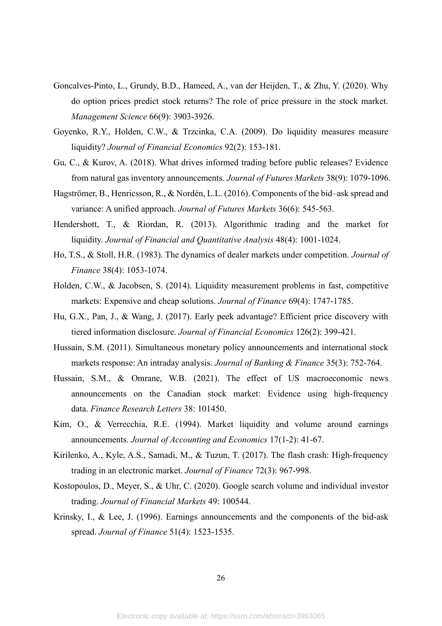- Goncalves-Pinto, L., Grundy, B.D., Hameed, A., van der Heijden, T., & Zhu, Y. (2020). Why do option prices predict stock returns? The role of price pressure in the stock market. *Management Science* 66(9): 3903-3926.
- Goyenko, R.Y., Holden, C.W., & Trzcinka, C.A. (2009). Do liquidity measures measure liquidity? *Journal of Financial Economics* 92(2): 153-181.
- Gu, C., & Kurov, A. (2018). What drives informed trading before public releases? Evidence from natural gas inventory announcements. *Journal of Futures Markets* 38(9): 1079-1096.
- Hagströmer, B., Henricsson, R., & Nordén, L.L. (2016). Components of the bid–ask spread and variance: A unified approach. *Journal of Futures Markets* 36(6): 545-563.
- Hendershott, T., & Riordan, R. (2013). Algorithmic trading and the market for liquidity. *Journal of Financial and Quantitative Analysis* 48(4): 1001-1024.
- Ho, T.S., & Stoll, H.R. (1983). The dynamics of dealer markets under competition. *Journal of Finance* 38(4): 1053-1074.
- Holden, C.W., & Jacobsen, S. (2014). Liquidity measurement problems in fast, competitive markets: Expensive and cheap solutions. *Journal of Finance* 69(4): 1747-1785.
- Hu, G.X., Pan, J., & Wang, J. (2017). Early peek advantage? Efficient price discovery with tiered information disclosure. *Journal of Financial Economics* 126(2): 399-421.
- Hussain, S.M. (2011). Simultaneous monetary policy announcements and international stock markets response: An intraday analysis. *Journal of Banking & Finance* 35(3): 752-764.
- Hussain, S.M., & Omrane, W.B. (2021). The effect of US macroeconomic news announcements on the Canadian stock market: Evidence using high-frequency data. *Finance Research Letters* 38: 101450.
- Kim, O., & Verrecchia, R.E. (1994). Market liquidity and volume around earnings announcements. *Journal of Accounting and Economics* 17(1-2): 41-67.
- Kirilenko, A., Kyle, A.S., Samadi, M., & Tuzun, T. (2017). The flash crash: High-frequency trading in an electronic market. *Journal of Finance* 72(3): 967-998.
- Kostopoulos, D., Meyer, S., & Uhr, C. (2020). Google search volume and individual investor trading. *Journal of Financial Markets* 49: 100544.
- Krinsky, I., & Lee, J. (1996). Earnings announcements and the components of the bid-ask spread. *Journal of Finance* 51(4): 1523-1535.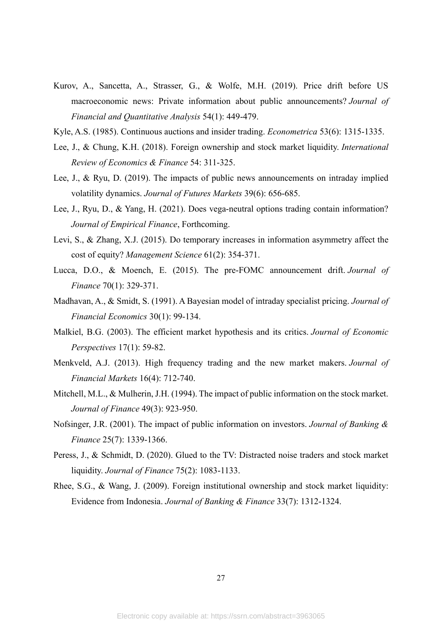- Kurov, A., Sancetta, A., Strasser, G., & Wolfe, M.H. (2019). Price drift before US macroeconomic news: Private information about public announcements? *Journal of Financial and Quantitative Analysis* 54(1): 449-479.
- Kyle, A.S. (1985). Continuous auctions and insider trading. *Econometrica* 53(6): 1315-1335.
- Lee, J., & Chung, K.H. (2018). Foreign ownership and stock market liquidity. *International Review of Economics & Finance* 54: 311-325.
- Lee, J., & Ryu, D. (2019). The impacts of public news announcements on intraday implied volatility dynamics. *Journal of Futures Markets* 39(6): 656-685.
- Lee, J., Ryu, D., & Yang, H. (2021). Does vega-neutral options trading contain information? *Journal of Empirical Finance*, Forthcoming.
- Levi, S., & Zhang, X.J. (2015). Do temporary increases in information asymmetry affect the cost of equity? *Management Science* 61(2): 354-371.
- Lucca, D.O., & Moench, E. (2015). The pre‐FOMC announcement drift. *Journal of Finance* 70(1): 329-371.
- Madhavan, A., & Smidt, S. (1991). A Bayesian model of intraday specialist pricing. *Journal of Financial Economics* 30(1): 99-134.
- Malkiel, B.G. (2003). The efficient market hypothesis and its critics. *Journal of Economic Perspectives* 17(1): 59-82.
- Menkveld, A.J. (2013). High frequency trading and the new market makers. *Journal of Financial Markets* 16(4): 712-740.
- Mitchell, M.L., & Mulherin, J.H. (1994). The impact of public information on the stock market. *Journal of Finance* 49(3): 923-950.
- Nofsinger, J.R. (2001). The impact of public information on investors. *Journal of Banking & Finance* 25(7): 1339-1366.
- Peress, J., & Schmidt, D. (2020). Glued to the TV: Distracted noise traders and stock market liquidity. *Journal of Finance* 75(2): 1083-1133.
- Rhee, S.G., & Wang, J. (2009). Foreign institutional ownership and stock market liquidity: Evidence from Indonesia. *Journal of Banking & Finance* 33(7): 1312-1324.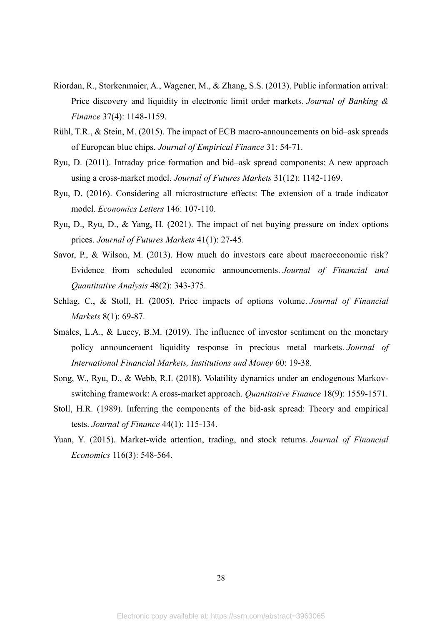- Riordan, R., Storkenmaier, A., Wagener, M., & Zhang, S.S. (2013). Public information arrival: Price discovery and liquidity in electronic limit order markets. *Journal of Banking & Finance* 37(4): 1148-1159.
- Rühl, T.R., & Stein, M. (2015). The impact of ECB macro-announcements on bid–ask spreads of European blue chips. *Journal of Empirical Finance* 31: 54-71.
- Ryu, D. (2011). Intraday price formation and bid–ask spread components: A new approach using a cross‐market model. *Journal of Futures Markets* 31(12): 1142-1169.
- Ryu, D. (2016). Considering all microstructure effects: The extension of a trade indicator model. *Economics Letters* 146: 107-110.
- Ryu, D., Ryu, D., & Yang, H. (2021). The impact of net buying pressure on index options prices. *Journal of Futures Markets* 41(1): 27-45.
- Savor, P., & Wilson, M. (2013). How much do investors care about macroeconomic risk? Evidence from scheduled economic announcements. *Journal of Financial and Quantitative Analysis* 48(2): 343-375.
- Schlag, C., & Stoll, H. (2005). Price impacts of options volume. *Journal of Financial Markets* 8(1): 69-87.
- Smales, L.A., & Lucey, B.M. (2019). The influence of investor sentiment on the monetary policy announcement liquidity response in precious metal markets. *Journal of International Financial Markets, Institutions and Money* 60: 19-38.
- Song, W., Ryu, D., & Webb, R.I. (2018). Volatility dynamics under an endogenous Markovswitching framework: A cross-market approach. *Quantitative Finance* 18(9): 1559-1571.
- Stoll, H.R. (1989). Inferring the components of the bid‐ask spread: Theory and empirical tests. *Journal of Finance* 44(1): 115-134.
- Yuan, Y. (2015). Market-wide attention, trading, and stock returns. *Journal of Financial Economics* 116(3): 548-564.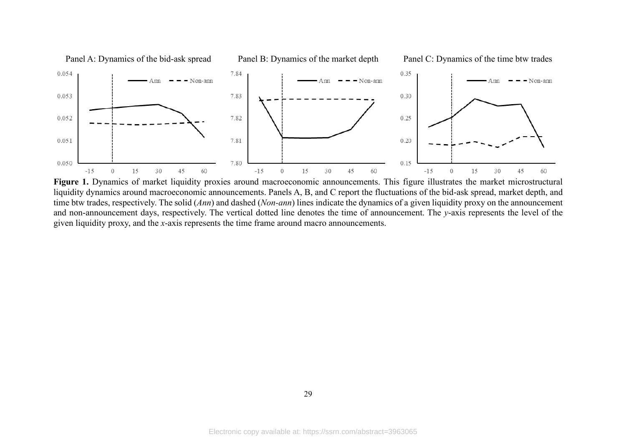

Figure 1. Dynamics of market liquidity proxies around macroeconomic announcements. This figure illustrates the market microstructural liquidity dynamics around macroeconomic announcements. Panels A, B, and C report the fluctuations of the bid-ask spread, market depth, and time btw trades, respectively. The solid (*Ann*) and dashed (*Non-ann*) lines indicate the dynamics of a given liquidity proxy on the announcement and non-announcement days, respectively. The vertical dotted line denotes the time of announcement. The *y*-axis represents the level of the given liquidity proxy, and the *x*-axis represents the time frame around macro announcements.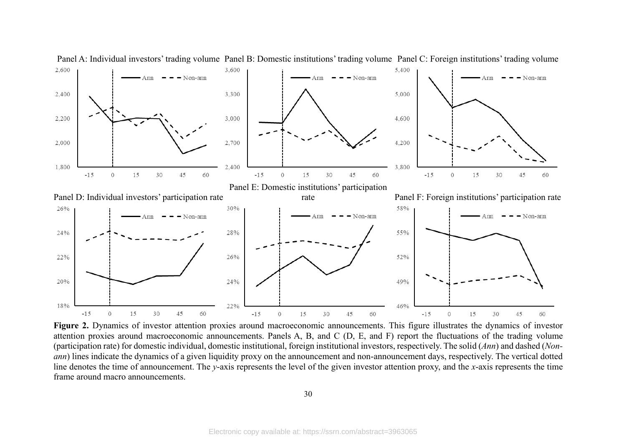

Panel A: Individual investors' trading volume Panel B: Domestic institutions' trading volume Panel C: Foreign institutions' trading volume

Figure 2. Dynamics of investor attention proxies around macroeconomic announcements. This figure illustrates the dynamics of investor attention proxies around macroeconomic announcements. Panels A, B, and C (D, E, and F) report the fluctuations of the trading volume (participation rate) for domestic individual, domestic institutional, foreign institutional investors, respectively. The solid (*Ann*) and dashed (*Nonann*) lines indicate the dynamics of a given liquidity proxy on the announcement and non-announcement days, respectively. The vertical dotted line denotes the time of announcement. The *y*-axis represents the level of the given investor attention proxy, and the *x*-axis represents the time frame around macro announcements.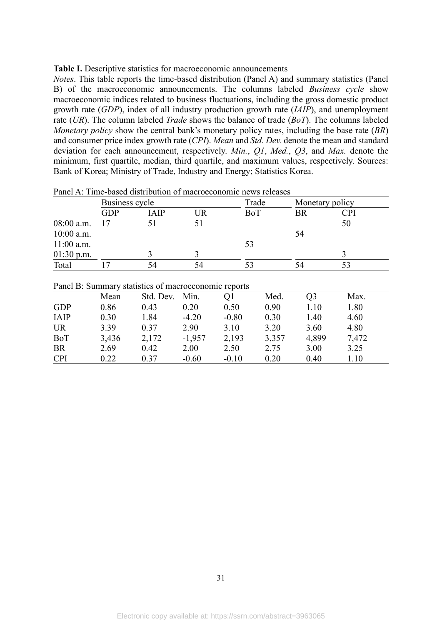#### **Table I.** Descriptive statistics for macroeconomic announcements

*Notes*. This table reports the time-based distribution (Panel A) and summary statistics (Panel B) of the macroeconomic announcements. The columns labeled *Business cycle* show macroeconomic indices related to business fluctuations, including the gross domestic product growth rate (*GDP*), index of all industry production growth rate (*IAIP*), and unemployment rate (*UR*). The column labeled *Trade* shows the balance of trade (*BoT*). The columns labeled *Monetary policy* show the central bank's monetary policy rates, including the base rate (*BR*) and consumer price index growth rate (*CPI*). *Mean* and *Std. Dev.* denote the mean and standard deviation for each announcement, respectively. *Min.*, *Q1*, *Med.*, *Q3*, and *Max.* denote the minimum, first quartile, median, third quartile, and maximum values, respectively. Sources: Bank of Korea; Ministry of Trade, Industry and Energy; Statistics Korea.

|              |     | Business cycle |    |     | Monetary policy |                         |
|--------------|-----|----------------|----|-----|-----------------|-------------------------|
|              | GDP | IAIP           | UR | BoT |                 | $\mathbb{C}\mathrm{Pl}$ |
| $08:00$ a.m. |     |                |    |     |                 | 50                      |
| $10:00$ a.m. |     |                |    |     | 54              |                         |
| $11:00$ a.m. |     |                |    | 53  |                 |                         |
| $01:30$ p.m. |     |                |    |     |                 |                         |
| Total        |     | 54             | 54 |     |                 |                         |

Panel A: Time-based distribution of macroeconomic news releases

|  |  | Panel B: Summary statistics of macroeconomic reports |  |
|--|--|------------------------------------------------------|--|
|  |  |                                                      |  |

|             | Mean  | Std. Dev. | Min.     |         | Med.  | O3    | Max.  |
|-------------|-------|-----------|----------|---------|-------|-------|-------|
| <b>GDP</b>  | 0.86  | 0.43      | 0.20     | 0.50    | 0.90  | 1.10  | 1.80  |
| <b>IAIP</b> | 0.30  | 1.84      | $-4.20$  | $-0.80$ | 0.30  | 1.40  | 4.60  |
| <b>UR</b>   | 3.39  | 0.37      | 2.90     | 3.10    | 3.20  | 3.60  | 4.80  |
| BoT         | 3,436 | 2,172     | $-1,957$ | 2,193   | 3,357 | 4,899 | 7,472 |
| <b>BR</b>   | 2.69  | 0.42      | 2.00     | 2.50    | 2.75  | 3.00  | 3.25  |
| <b>CPI</b>  | 0.22  | 0.37      | $-0.60$  | $-0.10$ | 0.20  | 0.40  | 1.10  |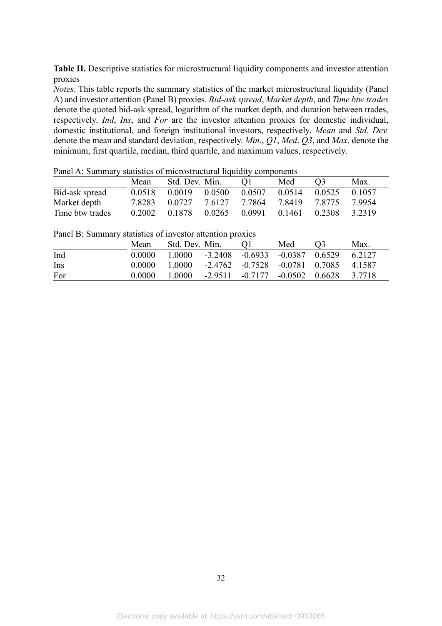Table II. Descriptive statistics for microstructural liquidity components and investor attention proxies

*Notes*. This table reports the summary statistics of the market microstructural liquidity (Panel A) and investor attention (Panel B) proxies. *Bid-ask spread*, *Market depth*, and *Time btw trades* denote the quoted bid-ask spread, logarithm of the market depth, and duration between trades, respectively. *Ind*, *Ins*, and *For* are the investor attention proxies for domestic individual, domestic institutional, and foreign institutional investors, respectively. *Mean* and *Std. Dev.* denote the mean and standard deviation, respectively. *Min*., *Q1*, *Med*. *Q3*, and *Max*. denote the minimum, first quartile, median, third quartile, and maximum values, respectively.

|                 | Mean   | Std. Dev. Min. |        |        | Med    | O <sub>3</sub> | Max.   |
|-----------------|--------|----------------|--------|--------|--------|----------------|--------|
| Bid-ask spread  | 0.0518 | 0.0019         | 0.0500 | 0.0507 | 0.0514 | 0.0525         | 0.1057 |
| Market depth    | 7.8283 | 0.0727         | 7.6127 | 7.7864 | 7.8419 | 7 8775         | 7 9954 |
| Time btw trades | 0.2002 | 0.1878         | 0.0265 | 0.0991 | 0.1461 | 0.2308         | 3.2319 |

Panel A: Summary statistics of microstructural liquidity components

|     | Mean   | Std. Dev. Min. | ( )                                             | Med | 03 | Max.   |
|-----|--------|----------------|-------------------------------------------------|-----|----|--------|
| Ind | 0.0000 | 1.0000         | $-3.2408$ $-0.6933$ $-0.0387$ $0.6529$          |     |    | 6.2127 |
| Ins | 0.0000 | 1.0000         | $-2.4762$ $-0.7528$ $-0.0781$ $0.7085$ $4.1587$ |     |    |        |
| For | 0.0000 | 1.0000         | $-2.9511$ $-0.7177$ $-0.0502$ $0.6628$          |     |    | 3.7718 |

Panel B: Summary statistics of investor attention proxies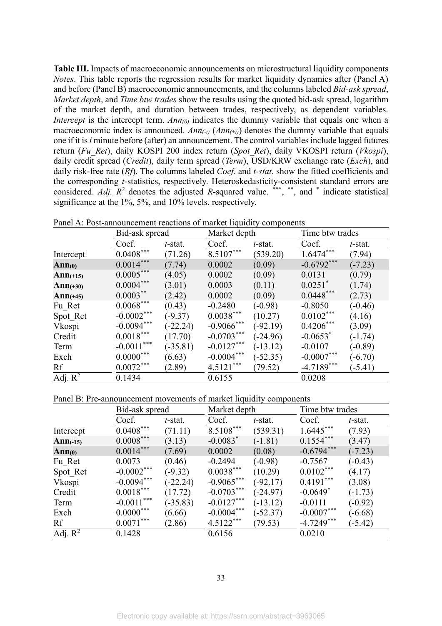**Table III.** Impacts of macroeconomic announcements on microstructural liquidity components *Notes*. This table reports the regression results for market liquidity dynamics after (Panel A) and before (Panel B) macroeconomic announcements, and the columns labeled *Bid-ask spread*, *Market depth*, and *Time btw trades* show the results using the quoted bid-ask spread, logarithm of the market depth, and duration between trades, respectively, as dependent variables. *Intercept* is the intercept term. *Ann(0)* indicates the dummy variable that equals one when a macroeconomic index is announced.  $Ann_{(-i)}(Ann_{(+i)})$  denotes the dummy variable that equals one if it is *i* minute before (after) an announcement. The control variables include lagged futures return (*Fu\_Ret*), daily KOSPI 200 index return (*Spot\_Ret*), daily VKOSPI return (*Vkospi*), daily credit spread (*Credit*), daily term spread (*Term*), USD/KRW exchange rate (*Exch*), and daily risk-free rate (*Rf*). The columns labeled *Coef*. and *t-stat*. show the fitted coefficients and the corresponding *t*-statistics, respectively. Heteroskedasticity-consistent standard errors are considered. Adj.  $R^2$  denotes the adjusted R-squared value. \*\*\*, \*\*, and \* indicate statistical significance at the 1%, 5%, and 10% levels, respectively.

Panel A: Post-announcement reactions of market liquidity components

|            | Bid-ask spread |            | Market depth  |            | Time btw trades        |           |
|------------|----------------|------------|---------------|------------|------------------------|-----------|
|            | Coef.          | t-stat.    | Coef.         | t-stat.    | Coef.                  | t-stat.   |
| Intercept  | $0.0408***$    | (71.26)    | $8.5107***$   | (539.20)   | $1.6474$ ***           | (7.94)    |
| Ann(0)     | $0.0014***$    | (7.74)     | 0.0002        | (0.09)     | $-0.6792***$           | $(-7.23)$ |
| $Ann(+15)$ | $0.0005***$    | (4.05)     | 0.0002        | (0.09)     | 0.0131                 | (0.79)    |
| $Ann(+30)$ | $0.0004***$    | (3.01)     | 0.0003        | (0.11)     | $0.0251$ <sup>*</sup>  | (1.74)    |
| $Ann(+45)$ | $0.0003***$    | (2.42)     | 0.0002        | (0.09)     | $0.0448***$            | (2.73)    |
| Fu Ret     | $0.0068***$    | (0.43)     | $-0.2480$     | $(-0.98)$  | $-0.8050$              | $(-0.46)$ |
| Spot Ret   | $-0.0002***$   | $(-9.37)$  | $0.0038***$   | (10.27)    | $0.0102***$            | (4.16)    |
| Vkospi     | $-0.0094***$   | $(-22.24)$ | $-0.9066$ *** | $(-92.19)$ | $0.4206***$            | (3.09)    |
| Credit     | $0.0018***$    | (17.70)    | $-0.0703***$  | $(-24.96)$ | $-0.0653$ <sup>*</sup> | $(-1.74)$ |
| Term       | $-0.0011***$   | $(-35.81)$ | $-0.0127***$  | $(-13.12)$ | $-0.0107$              | $(-0.89)$ |
| Exch       | $0.0000^{***}$ | (6.63)     | $-0.0004***$  | $(-52.35)$ | $-0.0007***$           | $(-6.70)$ |
| Rf         | $0.0072***$    | (2.89)     | $4.5121***$   | (79.52)    | $-4.7189***$           | $(-5.41)$ |
| Adj. $R^2$ | 0.1434         |            | 0.6155        |            | 0.0208                 |           |

Panel B: Pre-announcement movements of market liquidity components

|            | Bid-ask spread |            | Market depth           |            | Time btw trades |           |
|------------|----------------|------------|------------------------|------------|-----------------|-----------|
|            | Coef.          | $t$ -stat. | Coef.                  | t-stat.    | Coef.           | t-stat.   |
| Intercept  | $0.0408$ ***   | (71.11)    | $8.5108$ ***           | (539.31)   | $1.6445***$     | (7.93)    |
| $Ann(-15)$ | $0.0008***$    | (3.13)     | $-0.0083$ <sup>*</sup> | $(-1.81)$  | $0.1554***$     | (3.47)    |
| Ann(0)     | $0.0014***$    | (7.69)     | 0.0002                 | (0.08)     | $-0.6794***$    | $(-7.23)$ |
| Fu Ret     | 0.0073         | (0.46)     | $-0.2494$              | $(-0.98)$  | $-0.7567$       | $(-0.43)$ |
| Spot Ret   | $-0.0002***$   | $(-9.32)$  | $0.0038***$            | (10.29)    | $0.0102***$     | (4.17)    |
| Vkospi     | $-0.0094***$   | $(-22.24)$ | $-0.9065***$           | $(-92.17)$ | $0.4191***$     | (3.08)    |
| Credit     | $0.0018***$    | (17.72)    | $-0.0703***$           | $(-24.97)$ | $-0.0649*$      | $(-1.73)$ |
| Term       | $-0.0011***$   | $(-35.83)$ | $-0.0127***$           | $(-13.12)$ | $-0.0111$       | $(-0.92)$ |
| Exch       | $0.0000^{***}$ | (6.66)     | $-0.0004***$           | $(-52.37)$ | $-0.0007***$    | $(-6.68)$ |
| Rf         | $0.0071***$    | (2.86)     | $4.5122***$            | (79.53)    | $-4.7249***$    | $(-5.42)$ |
| Adj. $R^2$ | 0.1428         |            | 0.6156                 |            | 0.0210          |           |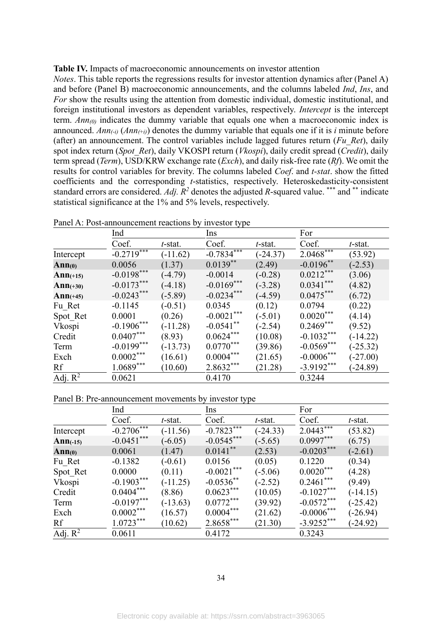#### **Table IV.** Impacts of macroeconomic announcements on investor attention

*Notes*. This table reports the regressions results for investor attention dynamics after (Panel A) and before (Panel B) macroeconomic announcements, and the columns labeled *Ind*, *Ins*, and *For* show the results using the attention from domestic individual, domestic institutional, and foreign institutional investors as dependent variables, respectively. *Intercept* is the intercept term. *Ann(0)* indicates the dummy variable that equals one when a macroeconomic index is announced.  $Ann_{(-i)}(Ann_{(+i)})$  denotes the dummy variable that equals one if it is *i* minute before (after) an announcement. The control variables include lagged futures return (*Fu\_Ret*), daily spot index return (*Spot\_Ret*), daily VKOSPI return (*Vkospi*), daily credit spread (*Credit*), daily term spread (*Term*), USD/KRW exchange rate (*Exch*), and daily risk-free rate (*Rf*). We omit the results for control variables for brevity. The columns labeled *Coef*. and *t-stat*. show the fitted coefficients and the corresponding *t*-statistics, respectively. Heteroskedasticity-consistent standard errors are considered. *Adj.*  $R^2$  denotes the adjusted *R*-squared value. \*\*\* and \*\* indicate statistical significance at the 1% and 5% levels, respectively.

|            | Ind          |            | Ins                     |            | For                     |            |
|------------|--------------|------------|-------------------------|------------|-------------------------|------------|
|            | Coef.        | t-stat.    | Coef.                   | t-stat.    | Coef.                   | t-stat.    |
| Intercept  | $-0.2719$    | $(-11.62)$ | $-0.783\overline{4***}$ | $(-24.37)$ | $2.0468$ <sup>***</sup> | (53.92)    |
| Ann(0)     | 0.0056       | (1.37)     | $0.0139**$              | (2.49)     | $-0.0196$ **            | $(-2.53)$  |
| $Ann(+15)$ | $-0.0198***$ | $(-4.79)$  | $-0.0014$               | $(-0.28)$  | $0.0212***$             | (3.06)     |
| $Ann(+30)$ | $-0.0173***$ | $-4.18$    | $-0.0169***$            | $(-3.28)$  | $0.0341***$             | (4.82)     |
| $Ann(+45)$ | $-0.0243***$ | $(-5.89)$  | $-0.0234***$            | $-4.59$    | $0.0475***$             | (6.72)     |
| Fu Ret     | $-0.1145$    | $(-0.51)$  | 0.0345                  | (0.12)     | 0.0794                  | (0.22)     |
| Spot Ret   | 0.0001       | (0.26)     | $-0.0021***$            | $(-5.01)$  | $0.0020***$             | (4.14)     |
| Vkospi     | $-0.1906***$ | $(-11.28)$ | $-0.0541$ **            | $(-2.54)$  | $0.2469***$             | (9.52)     |
| Credit     | $0.0407***$  | (8.93)     | $0.0624***$             | (10.08)    | $-0.1032***$            | $(-14.22)$ |
| Term       | $-0.0199***$ | $(-13.73)$ | $0.0770***$             | (39.86)    | $-0.0569***$            | $(-25.32)$ |
| Exch       | $0.0002***$  | (16.61)    | $0.0004***$             | (21.65)    | $-0.0006***$            | $(-27.00)$ |
| Rf         | $1.0689***$  | (10.60)    | $2.8632***$             | (21.28)    | $-3.9192***$            | $-24.89$   |
| Adj. $R^2$ | 0.0621       |            | 0.4170                  |            | 0.3244                  |            |

Panel A: Post-announcement reactions by investor type

Panel B: Pre-announcement movements by investor type

|            | Ind                        |            |               |            | For          |            |
|------------|----------------------------|------------|---------------|------------|--------------|------------|
|            | Coef.                      | t-stat.    | Coef.         | t-stat.    | Coef.        | t-stat.    |
| Intercept  | $-0.270\overline{6}^{***}$ | $(-11.56)$ | $-0.7823$ *** | $(-24.33)$ | $2.0443***$  | (53.82)    |
| $Ann(-15)$ | $-0.0451$ ***              | $(-6.05)$  | $-0.0545***$  | $(-5.65)$  | $0.0997***$  | (6.75)     |
| Ann(0)     | 0.0061                     | (1.47)     | $0.0141***$   | (2.53)     | $-0.0203***$ | $(-2.61)$  |
| Fu Ret     | $-0.1382$                  | $(-0.61)$  | 0.0156        | (0.05)     | 0.1220       | (0.34)     |
| Spot Ret   | 0.0000                     | (0.11)     | $-0.0021***$  | $(-5.06)$  | $0.0020***$  | (4.28)     |
| Vkospi     | $-0.1903***$               | $(-11.25)$ | $-0.0536$ **  | $(-2.52)$  | $0.2461***$  | (9.49)     |
| Credit     | $0.0404***$                | (8.86)     | $0.0623***$   | (10.05)    | $-0.1027***$ | $(-14.15)$ |
| Term       | $-0.0197***$               | $(-13.63)$ | $0.0772***$   | (39.92)    | $-0.0572***$ | $(-25.42)$ |
| Exch       | $0.0002***$                | (16.57)    | $0.0004***$   | (21.62)    | $-0.0006***$ | $(-26.94)$ |
| Rf         | $1.0723***$                | (10.62)    | $2.8658***$   | (21.30)    | $-3.9252***$ | $(-24.92)$ |
| Adj. $R^2$ | 0.0611                     |            | 0.4172        |            | 0.3243       |            |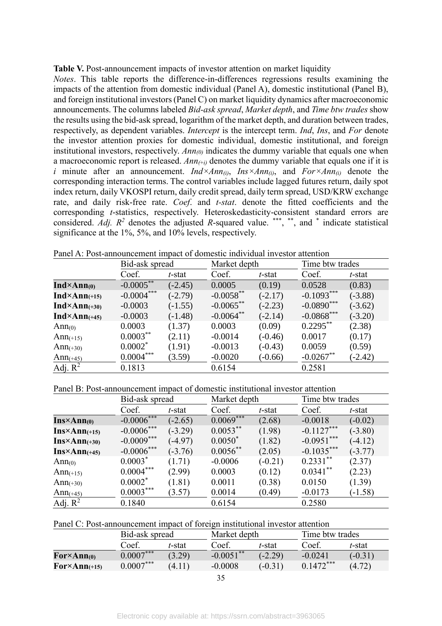#### Table V. Post-announcement impacts of investor attention on market liquidity

*Notes*. This table reports the difference-in-differences regressions results examining the impacts of the attention from domestic individual (Panel A), domestic institutional (Panel B), and foreign institutional investors (Panel C) on market liquidity dynamics after macroeconomic announcements. The columns labeled *Bid-ask spread*, *Market depth*, and *Time btw trades* show the results using the bid-ask spread, logarithm of the market depth, and duration between trades, respectively, as dependent variables. *Intercept* is the intercept term. *Ind*, *Ins*, and *For* denote the investor attention proxies for domestic individual, domestic institutional, and foreign institutional investors, respectively. *Ann(0)* indicates the dummy variable that equals one when a macroeconomic report is released. *Ann(*+*i)* denotes the dummy variable that equals one if it is *i* minute after an announcement. *Ind×Ann(i)*, *Ins×Ann(i)*, and *For×Ann(i)* denote the corresponding interaction terms. The control variables include lagged futures return, daily spot index return, daily VKOSPI return, daily credit spread, daily term spread, USD/KRW exchange rate, and daily risk-free rate. *Coef*. and *t-stat*. denote the fitted coefficients and the corresponding *t*-statistics, respectively. Heteroskedasticity-consistent standard errors are considered. Adj.  $R^2$  denotes the adjusted R-squared value. \*\*\*, \*\*, and \* indicate statistical significance at the 1%, 5%, and 10% levels, respectively.

|                          | Bid-ask spread |           | Market depth |           | Time btw trades |           |
|--------------------------|----------------|-----------|--------------|-----------|-----------------|-----------|
|                          | Coef.          | t-stat    | Coef.        | t-stat    | Coef.           | t-stat    |
| $Ind \times Ann(0)$      | $-0.0005***$   | $(-2.45)$ | 0.0005       | (0.19)    | 0.0528          | (0.83)    |
| $Ind \times Ann_{(+15)}$ | $-0.0004***$   | $(-2.79)$ | $-0.0058$ ** | $(-2.17)$ | $-0.1093***$    | $(-3.88)$ |
| $Ind \times Ann_{(+30)}$ | $-0.0003$      | $(-1.55)$ | $-0.0065***$ | $(-2.23)$ | $-0.0890***$    | $(-3.62)$ |
| $Ind \times Ann_{(+45)}$ | $-0.0003$      | $(-1.48)$ | $-0.0064**$  | $(-2.14)$ | $-0.0868***$    | $(-3.20)$ |
| Ann $(0)$                | 0.0003         | (1.37)    | 0.0003       | (0.09)    | $0.2295***$     | (2.38)    |
| Ann $(+15)$              | $0.0003***$    | (2.11)    | $-0.0014$    | $(-0.46)$ | 0.0017          | (0.17)    |
| Ann $(+30)$              | $0.0002*$      | (1.91)    | $-0.0013$    | $(-0.43)$ | 0.0059          | (0.59)    |
| Ann $(+45)$              | $0.0004***$    | (3.59)    | $-0.0020$    | $(-0.66)$ | $-0.0267$ **    | $(-2.42)$ |
| Adj. $R^2$               | 0.1813         |           | 0.6154       |           | 0.2581          |           |

Panel A: Post-announcement impact of domestic individual investor attention

Panel B: Post-announcement impact of domestic institutional investor attention

|                         | Bid-ask spread |           | Market depth |           | Time btw trades |           |
|-------------------------|----------------|-----------|--------------|-----------|-----------------|-----------|
|                         | Coef.          | $t$ -stat | Coef.        | t-stat    | Coef.           | t-stat    |
| $Ins\times Ann(0)$      | $-0.0006***$   | $(-2.65)$ | $0.0069***$  | (2.68)    | $-0.0018$       | $(-0.02)$ |
| $Ins\times Ann_{(+15)}$ | $-0.0006***$   | $(-3.29)$ | $0.0053***$  | (1.98)    | $-0.1127***$    | $(-3.80)$ |
| $Ins\times Ann_{(+30)}$ | $-0.0009***$   | $(-4.97)$ | $0.0050*$    | (1.82)    | $-0.0951***$    | $(-4.12)$ |
| $Ins\times Ann(+45)$    | $-0.0006$ ***  | $(-3.76)$ | $0.0056$ **  | (2.05)    | $-0.1035***$    | $(-3.77)$ |
| Ann <sub>(0)</sub>      | $0.0003*$      | (1.71)    | $-0.0006$    | $(-0.21)$ | $0.2331***$     | (2.37)    |
| $Ann(+15)$              | $0.0004***$    | (2.99)    | 0.0003       | (0.12)    | $0.0341***$     | (2.23)    |
| Ann $(+30)$             | $0.0002*$      | (1.81)    | 0.0011       | (0.38)    | 0.0150          | (1.39)    |
| Ann $(+45)$             | $0.0003***$    | (3.57)    | 0.0014       | (0.49)    | $-0.0173$       | $(-1.58)$ |
| Adj. $R^2$              | 0.1840         |           | 0.6154       |           | 0.2580          |           |

Panel C: Post-announcement impact of foreign institutional investor attention

|                                      | Bid-ask spread |        | Market depth |           | Time btw trades |           |
|--------------------------------------|----------------|--------|--------------|-----------|-----------------|-----------|
|                                      | Coef.          | t-stat | Coef         | t-stat    | Coef.           | t-stat    |
| $\text{For} \times \text{Ann}_{(0)}$ | $0.0007***$    | (3.29) | $-0.0051$ ** | $(-2.29)$ | $-0.0241$       | $(-0.31)$ |
| $For \times Ann_{(+15)}$             | $0.0007***$    | (4.11) | $-0.0008$    | $(-0.31)$ | $0.1472***$     | (4.72)    |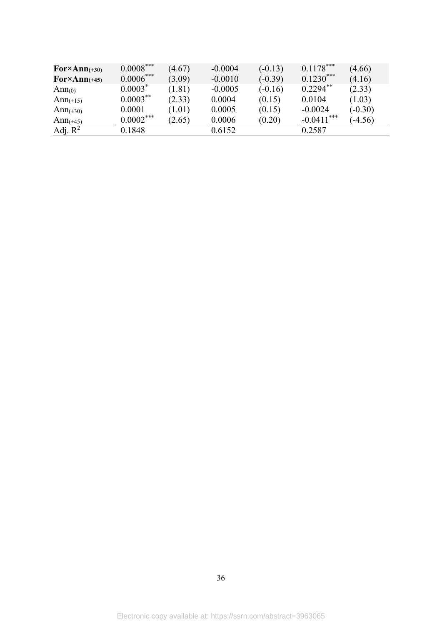| $\text{For} \times \text{Ann}_{(+30)}$ | $0.0008***$ | (4.67) | $-0.0004$ | $(-0.13)$ | $0.1178***$  | (4.66)    |
|----------------------------------------|-------------|--------|-----------|-----------|--------------|-----------|
| $\text{For} \times \text{Ann}_{(+45)}$ | $0.0006***$ | (3.09) | $-0.0010$ | $(-0.39)$ | $0.1230***$  | (4.16)    |
| Ann <sub>(0)</sub>                     | $0.0003*$   | (1.81) | $-0.0005$ | $(-0.16)$ | $0.2294**$   | (2.33)    |
| Ann $(+15)$                            | $0.0003***$ | (2.33) | 0.0004    | (0.15)    | 0.0104       | (1.03)    |
| Ann $(+30)$                            | 0.0001      | (1.01) | 0.0005    | (0.15)    | $-0.0024$    | $(-0.30)$ |
| Ann $(+45)$                            | $0.0002***$ | (2.65) | 0.0006    | (0.20)    | $-0.0411***$ | $-4.56$   |
| Adj. $R^2$                             | 0.1848      |        | 0.6152    |           | 0.2587       |           |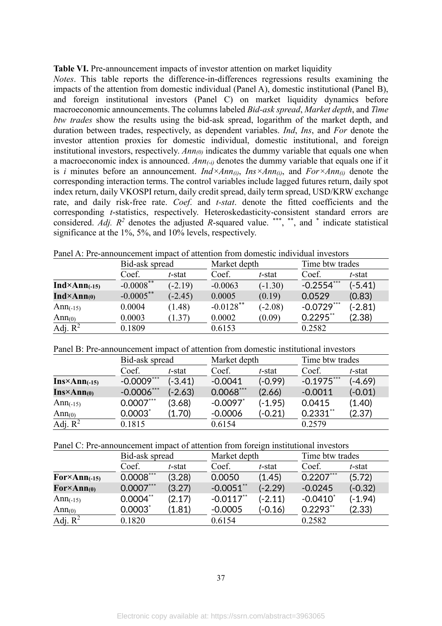| <b>Table VI.</b> Pre-announcement impacts of investor attention on market liquidity |  |  |  |  |  |
|-------------------------------------------------------------------------------------|--|--|--|--|--|
|-------------------------------------------------------------------------------------|--|--|--|--|--|

*Notes*. This table reports the difference-in-differences regressions results examining the impacts of the attention from domestic individual (Panel A), domestic institutional (Panel B), and foreign institutional investors (Panel C) on market liquidity dynamics before macroeconomic announcements. The columns labeled *Bid-ask spread*, *Market depth*, and *Time btw trades* show the results using the bid-ask spread, logarithm of the market depth, and duration between trades, respectively, as dependent variables. *Ind*, *Ins*, and *For* denote the investor attention proxies for domestic individual, domestic institutional, and foreign institutional investors, respectively. *Ann(0)* indicates the dummy variable that equals one when a macroeconomic index is announced. *Ann(*-*i)* denotes the dummy variable that equals one if it is *i* minutes before an announcement. *Ind×Ann(i)*, *Ins×Ann(i)*, and *For×Ann(i)* denote the corresponding interaction terms. The control variables include lagged futures return, daily spot index return, daily VKOSPI return, daily credit spread, daily term spread, USD/KRW exchange rate, and daily risk-free rate. *Coef*. and *t-stat*. denote the fitted coefficients and the corresponding *t*-statistics, respectively. Heteroskedasticity-consistent standard errors are considered. Adj.  $R^2$  denotes the adjusted R-squared value. \*\*\*, \*\*, and \* indicate statistical significance at the 1%, 5%, and 10% levels, respectively.

|                        | Bid-ask spread |           | Market depth |           | Time btw trades |           |
|------------------------|----------------|-----------|--------------|-----------|-----------------|-----------|
|                        | Coef.          | t-stat    | Coef.        | t-stat    | Coef.           | t-stat    |
| $Ind \times Ann(-15)$  | $-0.0008$ **   | $(-2.19)$ | $-0.0063$    | $(-1.30)$ | $-0.2554***$    | $(-5.41)$ |
| $Ind \times Ann_{(0)}$ | $-0.0005***$   | $(-2.45)$ | 0.0005       | (0.19)    | 0.0529          | (0.83)    |
| Ann $(-15)$            | 0.0004         | (1.48)    | $-0.0128$ ** | $(-2.08)$ | $-0.0729***$    | $(-2.81)$ |
| Ann $(0)$              | 0.0003         | (1.37)    | 0.0002       | (0.09)    | $0.2295$ **     | (2.38)    |
| Adj. $R^2$             | 0.1809         |           | 0.6153       |           | 0.2582          |           |

Panel A: Pre-announcement impact of attention from domestic individual investors

Panel B: Pre-announcement impact of attention from domestic institutional investors

|                         | Bid-ask spread  |           | Market depth           |           | Time btw trades |           |
|-------------------------|-----------------|-----------|------------------------|-----------|-----------------|-----------|
|                         | Coef.           | t-stat    | Coef.                  | t-stat    | Coef.           | t-stat    |
| $Ins\times Ann_{(-15)}$ | $-0.0009***$    | $(-3.41)$ | $-0.0041$              | $(-0.99)$ | $-0.1975***$    | $(-4.69)$ |
| $Ins \times Ann(0)$     | $-0.0006$ ***   | $(-2.63)$ | $0.0068***$            | (2.66)    | $-0.0011$       | $(-0.01)$ |
| Ann $(-15)$             | $0.0007***$     | (3.68)    | $-0.0097$ <sup>*</sup> | (-1.95)   | 0.0415          | (1.40)    |
| Ann $(0)$               | $0.0003^{\ast}$ | (1.70)    | $-0.0006$              | (-0.21)   | $0.2331**$      | (2.37)    |
| Adj. $R^2$              | 0.1815          |           | 0.6154                 |           | 0.2579          |           |

Panel C: Pre-announcement impact of attention from foreign institutional investors

|                                        | Bid-ask spread |        | Market depth            |           |                        | Time btw trades |  |  |
|----------------------------------------|----------------|--------|-------------------------|-----------|------------------------|-----------------|--|--|
|                                        | Coef.          | t-stat | Coef.                   | t-stat    | Coef.                  | t-stat          |  |  |
| $\text{For} \times \text{Ann}_{(-15)}$ | $0.0008***$    | (3.28) | 0.0050                  | (1.45)    | $0.2207***$            | (5.72)          |  |  |
| $\text{For} \times \text{Ann}_{(0)}$   | $0.0007***$    | (3.27) | $-0.0051$ **            | $(-2.29)$ | $-0.0245$              | $(-0.32)$       |  |  |
| Ann $(-15)$                            | $0.0004**$     | (2.17) | $-0.0117$ <sup>**</sup> | $(-2.11)$ | $-0.0410$ <sup>*</sup> | $(-1.94)$       |  |  |
| Ann $(0)$                              | $0.0003$ *     | (1.81) | $-0.0005$               | $(-0.16)$ | $0.2293**$             | (2.33)          |  |  |
| Adj. $R^2$                             | 0.1820         |        | 0.6154                  |           | 0.2582                 |                 |  |  |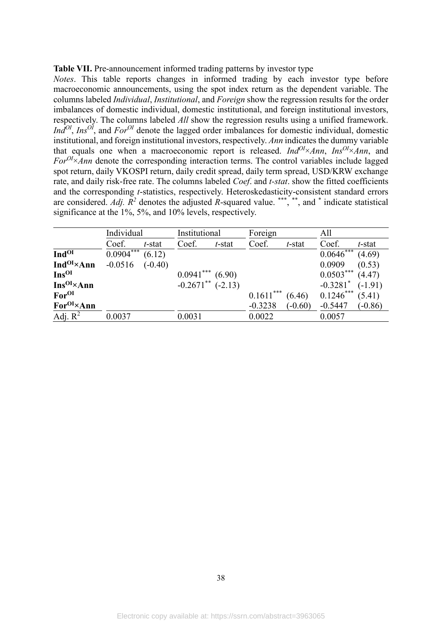#### **Table VII.** Pre-announcement informed trading patterns by investor type

*Notes*. This table reports changes in informed trading by each investor type before macroeconomic announcements, using the spot index return as the dependent variable. The columns labeled *Individual*, *Institutional*, and *Foreign* show the regression results for the order imbalances of domestic individual, domestic institutional, and foreign institutional investors, respectively. The columns labeled *All* show the regression results using a unified framework. *IndOI* , *InsOI*, and *ForOI* denote the lagged order imbalances for domestic individual, domestic institutional, and foreign institutional investors, respectively. *Ann* indicates the dummy variable that equals one when a macroeconomic report is released. *Ind*<sup>*OI</sup>*×*Ann*, *Ins*<sup>*OI*</sup>×*Ann*, and</sup> *ForOI*×*Ann* denote the corresponding interaction terms. The control variables include lagged spot return, daily VKOSPI return, daily credit spread, daily term spread, USD/KRW exchange rate, and daily risk-free rate. The columns labeled *Coef*. and *t-stat*. show the fitted coefficients and the corresponding *t*-statistics, respectively. Heteroskedasticity-consistent standard errors are considered. *Adj.*  $R^2$  denotes the adjusted R-squared value. \*\*\*, \*\*, and \* indicate statistical significance at the 1%, 5%, and 10% levels, respectively.

|                               | Individual  |           | Institutional                     |           | Foreign<br>All |           |                        |           |
|-------------------------------|-------------|-----------|-----------------------------------|-----------|----------------|-----------|------------------------|-----------|
|                               | Coef.       | t-stat    | Coef.                             | $t$ -stat | Coef.          | $t$ -stat | Coef.                  | $t$ -stat |
| <b>Ind<sup>OI</sup></b>       | $0.0904***$ | (6.12)    |                                   |           |                |           | $0.0646***$            | (4.69)    |
| Ind <sup>OI</sup> ×Ann        | $-0.0516$   | $(-0.40)$ |                                   |           |                |           | 0.0909                 | (0.53)    |
| Ins <sup>OI</sup>             |             |           | $0.0941***$ (6.90)                |           |                |           | $0.0503***$            | (4.47)    |
| $Ins^{OI} \times Ann$         |             |           | $-0.2671$ <sup>**</sup> $(-2.13)$ |           |                |           | $-0.3281$ <sup>*</sup> | $(-1.91)$ |
| For <sup>OI</sup>             |             |           |                                   |           | $0.1611***$    | (6.46)    | $0.1246***$            | (5.41)    |
| <b>For</b> <sup>OI</sup> ×Ann |             |           |                                   |           | $-0.3238$      | $(-0.60)$ | $-0.5447$              | $(-0.86)$ |
| Adj. $R^2$                    | 0.0037      |           | 0.0031                            |           | 0.0022         |           | 0.0057                 |           |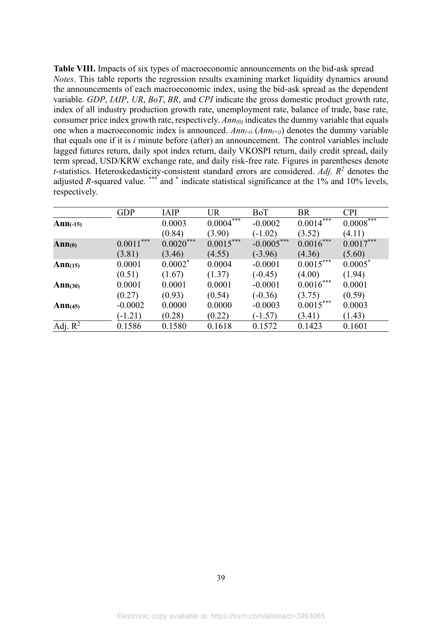**Table VIII.** Impacts of six types of macroeconomic announcements on the bid-ask spread *Notes*. This table reports the regression results examining market liquidity dynamics around the announcements of each macroeconomic index, using the bid-ask spread as the dependent variable. *GDP*, *IAIP*, *UR*, *BoT*, *BR*, and *CPI* indicate the gross domestic product growth rate, index of all industry production growth rate, unemployment rate, balance of trade, base rate, consumer price index growth rate, respectively. *Ann(0)* indicates the dummy variable that equals one when a macroeconomic index is announced. *Ann(*-*i)* (*Ann(*+*i)*) denotes the dummy variable that equals one if it is *i* minute before (after) an announcement. The control variables include lagged futures return, daily spot index return, daily VKOSPI return, daily credit spread, daily term spread, USD/KRW exchange rate, and daily risk-free rate. Figures in parentheses denote *t*-statistics. Heteroskedasticity-consistent standard errors are considered. *Adj. R<sup>2</sup>* denotes the adjusted *R*-squared value. \*\*\* and \* indicate statistical significance at the 1% and 10% levels, respectively.

|                    | <b>GDP</b>  | <b>IAIP</b> | <b>UR</b>   | BoT          | <b>BR</b>                 | <b>CPI</b>  |
|--------------------|-------------|-------------|-------------|--------------|---------------------------|-------------|
| $Ann(-15)$         |             | 0.0003      | $0.0004***$ | $-0.0002$    | $0.001\overline{4^{***}}$ | $0.0008***$ |
|                    |             | (0.84)      | (3.90)      | $(-1.02)$    | (3.52)                    | (4.11)      |
| Ann <sub>(0)</sub> | $0.0011***$ | $0.0020***$ | $0.0015***$ | $-0.0005***$ | $0.0016***$               | $0.0017***$ |
|                    | (3.81)      | (3.46)      | (4.55)      | $(-3.96)$    | (4.36)                    | (5.60)      |
| Ann $(15)$         | 0.0001      | $0.0002*$   | 0.0004      | $-0.0001$    | $0.0015***$               | $0.0005*$   |
|                    | (0.51)      | (1.67)      | (1.37)      | $(-0.45)$    | (4.00)                    | (1.94)      |
| Ann(30)            | 0.0001      | 0.0001      | 0.0001      | $-0.0001$    | $0.0016***$               | 0.0001      |
|                    | (0.27)      | (0.93)      | (0.54)      | $(-0.36)$    | (3.75)                    | (0.59)      |
| Ann(45)            | $-0.0002$   | 0.0000      | 0.0000      | $-0.0003$    | $0.0015***$               | 0.0003      |
|                    | $(-1.21)$   | (0.28)      | (0.22)      | $(-1.57)$    | (3.41)                    | (1.43)      |
| Adj. $R^2$         | 0.1586      | 0.1580      | 0.1618      | 0.1572       | 0.1423                    | 0.1601      |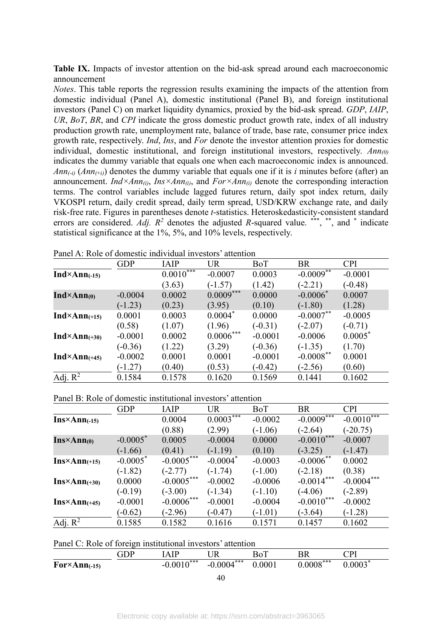Table IX. Impacts of investor attention on the bid-ask spread around each macroeconomic announcement

*Notes*. This table reports the regression results examining the impacts of the attention from domestic individual (Panel A), domestic institutional (Panel B), and foreign institutional investors (Panel C) on market liquidity dynamics, proxied by the bid-ask spread. *GDP*, *IAIP*, *UR*, *BoT*, *BR*, and *CPI* indicate the gross domestic product growth rate, index of all industry production growth rate, unemployment rate, balance of trade, base rate, consumer price index growth rate, respectively. *Ind*, *Ins*, and *For* denote the investor attention proxies for domestic individual, domestic institutional, and foreign institutional investors, respectively. *Ann(0)* indicates the dummy variable that equals one when each macroeconomic index is announced. *Ann* $(i)$  (*Ann* $(i)$ ) denotes the dummy variable that equals one if it is *i* minutes before (after) an announcement. *Ind×Ann(i)*, *Ins×Ann(i)*, and *For×Ann(i)* denote the corresponding interaction terms. The control variables include lagged futures return, daily spot index return, daily VKOSPI return, daily credit spread, daily term spread, USD/KRW exchange rate, and daily risk-free rate. Figures in parentheses denote *t*-statistics. Heteroskedasticity-consistent standard errors are considered. Adj.  $R^2$  denotes the adjusted R-squared value. \*\*\*, \*\*, and \* indicate statistical significance at the 1%, 5%, and 10% levels, respectively.

|                          | <b>GDP</b> | <b>IAIP</b> | UR          | BoT       | BR           | <b>CPI</b> |
|--------------------------|------------|-------------|-------------|-----------|--------------|------------|
| $Ind \times Ann(-15)$    |            | $0.0010***$ | $-0.0007$   | 0.0003    | $-0.0009***$ | $-0.0001$  |
|                          |            | (3.63)      | $(-1.57)$   | (1.42)    | $(-2.21)$    | $(-0.48)$  |
| $Ind \times Ann_{(0)}$   | $-0.0004$  | 0.0002      | $0.0009***$ | 0.0000    | $-0.0006*$   | 0.0007     |
|                          | $(-1.23)$  | (0.23)      | (3.95)      | (0.10)    | $(-1.80)$    | (1.28)     |
| $Ind \times Ann_{(+15)}$ | 0.0001     | 0.0003      | $0.0004*$   | 0.0000    | $-0.0007$ ** | $-0.0005$  |
|                          | (0.58)     | (1.07)      | (1.96)      | $(-0.31)$ | $(-2.07)$    | $(-0.71)$  |
| $Ind \times Ann_{(+30)}$ | $-0.0001$  | 0.0002      | $0.0006***$ | $-0.0001$ | $-0.0006$    | $0.0005^*$ |
|                          | $(-0.36)$  | (1.22)      | (3.29)      | $(-0.36)$ | $(-1.35)$    | (1.70)     |
| $Ind \times Ann_{(+45)}$ | $-0.0002$  | 0.0001      | 0.0001      | $-0.0001$ | $-0.0008$ ** | 0.0001     |
|                          | $(-1.27)$  | (0.40)      | (0.53)      | $(-0.42)$ | $(-2.56)$    | (0.60)     |
| Adj. $R^2$               | 0.1584     | 0.1578      | 0.1620      | 0.1569    | 0.1441       | 0.1602     |

Panel A: Role of domestic individual investors' attention

Panel B: Role of domestic institutional investors' attention

|                         | <b>GDP</b>             | <b>IAIP</b>  | <b>UR</b>              | BoT       | <b>BR</b>                | <b>CPI</b>   |
|-------------------------|------------------------|--------------|------------------------|-----------|--------------------------|--------------|
| $Ins\times Ann_{(-15)}$ |                        | 0.0004       | $0.0003***$            | $-0.0002$ | $-0.0009$ <sup>***</sup> | $-0.0010***$ |
|                         |                        | (0.88)       | (2.99)                 | $(-1.06)$ | $(-2.64)$                | $(-20.75)$   |
| $Ins \times Ann(0)$     | $-0.0005*$             | 0.0005       | $-0.0004$              | 0.0000    | $-0.0010***$             | $-0.0007$    |
|                         | $(-1.66)$              | (0.41)       | $(-1.19)$              | (0.10)    | $(-3.25)$                | $(-1.47)$    |
| $Ins\times Ann_{(+15)}$ | $-0.0005$ <sup>*</sup> | $-0.0005***$ | $-0.0004$ <sup>*</sup> | $-0.0003$ | $-0.0006$ <sup>**</sup>  | 0.0002       |
|                         | $(-1.82)$              | $(-2.77)$    | $(-1.74)$              | $(-1.00)$ | $(-2.18)$                | (0.38)       |
| $Ins\times Ann_{(+30)}$ | 0.0000                 | $-0.0005***$ | $-0.0002$              | $-0.0006$ | $-0.0014***$             | $-0.0004***$ |
|                         | $(-0.19)$              | $(-3.00)$    | $(-1.34)$              | $(-1.10)$ | $(-4.06)$                | $(-2.89)$    |
| $Ins\times Ann(+45)$    | $-0.0001$              | $-0.0006***$ | $-0.0001$              | $-0.0004$ | $-0.0010***$             | $-0.0002$    |
|                         | $(-0.62)$              | $(-2.96)$    | $(-0.47)$              | $(-1.01)$ | $(-3.64)$                | $(-1.28)$    |
| Adj. $R^2$              | 0.1585                 | 0.1582       | 0.1616                 | 0.1571    | 0.1457                   | 0.1602       |

| Panel C: Role of foreign institutional investors' attention |  |  |  |
|-------------------------------------------------------------|--|--|--|
|-------------------------------------------------------------|--|--|--|

|                       | GDP | AIP          | UR           | BoT    | BR          | $\mathbb C\mathrm{PI}$ |
|-----------------------|-----|--------------|--------------|--------|-------------|------------------------|
| $For \times Ann(-15)$ |     | $-0.0010***$ | $-0.0004***$ | 0.0001 | $0.0008***$ | $0.0003*$              |
|                       |     |              | $\Lambda$    |        |             |                        |